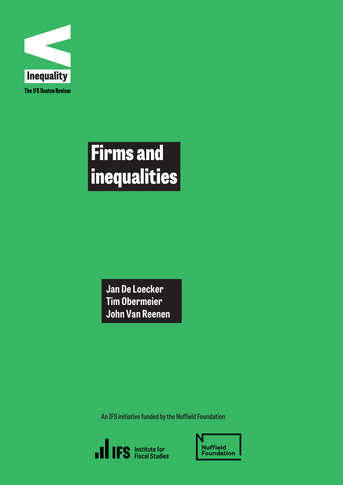

# Firms and inequalities

**Jan De Loecker Tim Obermeier John Van Reenen** 

**An IFS initiative funded by the Nuffield Foundation**



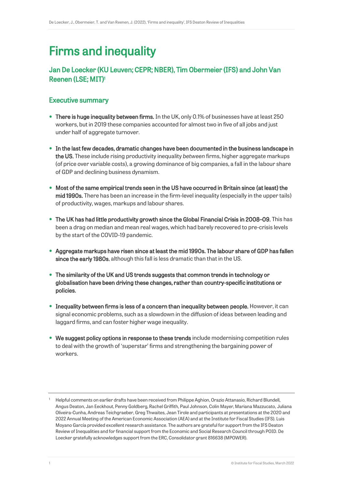# Firms and inequality

# Jan De Loecker (KU Leuven; CEPR; NBER), Tim Obermeier (IFS) and John Van Reenen (LSE; MIT)1

# Executive summary

- • There is huge inequality between firms. In the UK, only 0.1% of businesses have at least 250 workers, but in 2019 these companies accounted for almost two in five of all jobs and just under half of aggregate turnover.
- In the last few decades, dramatic changes have been documented in the business landscape in the US. These include rising productivity inequality *between* firms, higher aggregate markups (of price over variable costs), a growing dominance of big companies, a fall in the labour share of GDP and declining business dynamism.
- $\ddot{\phantom{0}}$  Most of the same empirical trends seen in the US have occurred in Britain since (at least) the mid 1990s. There has been an increase in the firm-level inequality (especially in the upper tails) of productivity, wages, markups and labour shares.
- The UK has had little productivity growth since the Global Financial Crisis in 2008–09. This has been a drag on median and mean real wages, which had barely recovered to pre-crisis levels by the start of the COVID-19 pandemic.
- Aggregate markups have risen since at least the mid 1990s. The labour share of GDP has fallen since the early 1980s, although this fall is less dramatic than that in the US.
- $\overline{a}$  The similarity of the UK and US trends suggests that common trends in technology or globalisation have been driving these changes, rather than country-specific institutions or policies.
- ſ Inequality between firms is less of a concern than inequality between people. However, it can signal economic problems, such as a slowdown in the diffusion of ideas between leading and laggard firms, and can foster higher wage inequality.
- We suggest policy options in response to these trends include modernising competition rules to deal with the growth of 'superstar' firms and strengthening the bargaining power of workers.

Helpful comments on earlier drafts have been received from Philippe Aghion, Orazio Attanasio, Richard Blundell, Angus Deaton, Jan Eeckhout, Penny Goldberg, Rachel Griffith, Paul Johnson, Colin Mayer, Mariana Mazzucato, Juliana Oliveira-Cunha, Andreas Teichgraeber, Greg Thwaites, Jean Tirole and participants at presentations at the 2020 and 2022 Annual Meeting of the American Economic Association (AEA) and at the Institute for Fiscal Studies (IFS). Luis Moyano García provided excellent research assistance. The authors are grateful for support from the IFS Deaton Review of Inequalities and for financial support from the Economic and Social Research Council through POID. De Loecker gratefully acknowledges support from the ERC, Consolidator grant 816638 (MPOWER). 1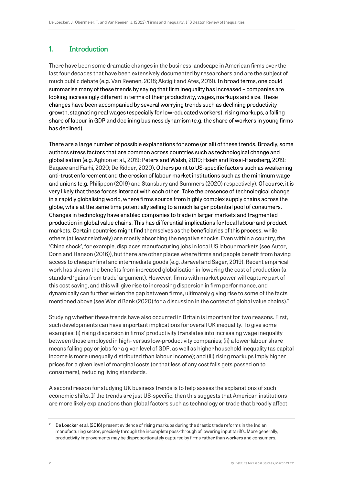# 1. Introduction

There have been some dramatic changes in the business landscape in American firms over the last four decades that have been extensively documented by researchers and are the subject of much public debate (e.g. Van Reenen, 2018; Akcigit and Ates, 2019). In broad terms, one could summarise many of these trends by saying that firm inequality has increased – companies are looking increasingly different in terms of their productivity, wages, markups and size. These changes have been accompanied by several worrying trends such as declining productivity growth, stagnating real wages (especially for low-educated workers), rising markups, a falling share of labour in GDP and declining business dynamism (e.g. the share of workers in young firms has declined).

 $\overline{a}$ i<br>I  $\overline{\phantom{a}}$ i<br>I There are a large number of possible explanations for some (or all) of these trends. Broadly, some authors stress factors that are common across countries such as technological change and globalisation (e.g. Aghion et al., 2019; Peters and Walsh, 2019; Hsieh and Rossi-Hansberg, 2019; Baqaee and Farhi, 2020; De Ridder, 2020). Others point to US-specific factors such as weakening anti-trust enforcement and the erosion of labour market institutions such as the minimum wage and unions (e.g. Philippon (2019) and Stansbury and Summers (2020) respectively). Of course, it is very likely that these forces interact with each other. Take the presence of technological change in a rapidly globalising world, where firms source from highly complex supply chains across the globe, while at the same time potentially selling to a much larger potential pool of consumers. Changes in technology have enabled companies to trade in larger markets and fragmented production in global value chains. This has differential implications for local labour and product markets. Certain countries might find themselves as the beneficiaries of this process, while others (at least relatively) are mostly absorbing the negative shocks. Even within a country, the 'China shock', for example, displaces manufacturing jobs in local US labour markets (see Autor, Dorn and Hanson (2016)), but there are other places where firms and people benefit from having access to cheaper final and intermediate goods (e.g. Jaravel and Sager, 2019). Recent empirical work has shown the benefits from increased globalisation in lowering the cost of production (a standard 'gains from trade' argument). However, firms with market power will capture part of this cost saving, and this will give rise to increasing dispersion in firm performance, and dynamically can further widen the gap between firms, ultimately giving rise to some of the facts mentioned above (see World Bank (2020) for a discussion in the context of global value chains).<sup>2</sup>

Studying whether these trends have also occurred in Britain is important for two reasons. First, such developments can have important implications for overall UK inequality. To give some examples: (i) rising dispersion in firms' productivity translates into increasing wage inequality between those employed in high- versus low-productivity companies; (ii) a lower labour share means falling pay or jobs for a given level of GDP, as well as higher household inequality (as capital income is more unequally distributed than labour income); and (iii) rising markups imply higher prices for a given level of marginal costs (or that less of any cost falls gets passed on to consumers), reducing living standards.

A second reason for studying UK business trends is to help assess the explanations of such economic shifts. If the trends are just US-specific, then this suggests that American institutions are more likely explanations than global factors such as technology or trade that broadly affect

[De Loecker et al. \(2016\) p](#page-38-0)resent evidence of rising markups during the drastic trade reforms in the Indian manufacturing sector, precisely through the incomplete pass-through of lowering input tariffs. More generally, productivity improvements may be disproportionately captured by firms rather than workers and consumers. 2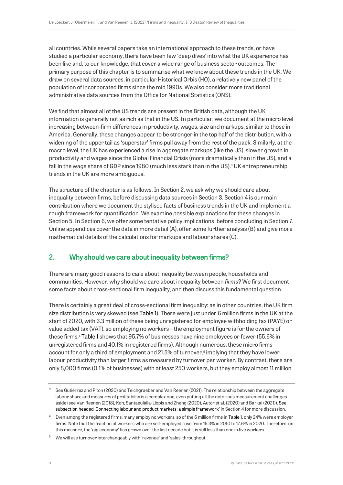all countries. While several papers take an international approach to these trends, or have studied a particular economy, there have been few 'deep dives' into what the UK experience has been like and, to our knowledge, that cover a wide range of business sector outcomes. The primary purpose of this chapter is to summarise what we know about these trends in the UK. We draw on several data sources, in particular Historical Orbis (HO), a relatively new panel of the population of incorporated firms since the mid 1990s. We also consider more traditional administrative data sources from the Office for National Statistics (ONS).

We find that almost all of the US trends are present in the British data, although the UK information is generally not as rich as that in the US. In particular, we document at the micro level increasing between-firm differences in productivity, wages, size and markups, similar to those in America. Generally, these changes appear to be stronger in the top half of the distribution, with a widening of the upper tail as 'superstar' firms pull away from the rest of the pack. Similarly, at the macro level, the UK has experienced a rise in aggregate markups (like the US), slower growth in productivity and wages since the Global Financial Crisis (more dramatically than in the US), and a fall in the wage share of GDP since 1980 (much less stark than in the US). 3 UK entrepreneurship trends in the UK are more ambiguous.

The structure of the chapter is as follows. In Section 2, we ask why we should care about inequality between firms, before discussing data sources in Section 3. Section 4 is our main contribution where we document the stylised facts of business trends in the UK and implement a rough framework for quantification. We examine possible explanations for these changes in Section 5. In Section 6, we offer some tentative policy implications, before concluding in Section 7. Online appendices cover the data in more detail (A), offer some further analysis (B) and give more mathematical details of the calculations for markups and labour shares (C).

### 2. Why should we care about inequality between firms?

There are many good reasons to care about inequality between people, households and communities. However, why should we care about inequality between *firms*? We first document some facts about cross-sectional firm inequality, and then discuss this fundamental question.

 $\overline{a}$ There is certainly a great deal of cross-sectional firm inequality: as in other countries, the UK firm size distribution is very skewed (se[e Table 1\)](#page-4-0). There were just under 6 million firms in the UK at the start of 2020, with 3.3 million of these being unregistered for employee withholding tax (PAYE) or value added tax (VAT), so employing no workers – the employment figure is for the owners of these firms.[4 Table 1 s](#page-4-0)hows that 95.7% of businesses have nine employees or fewer (55.6% in unregistered firms and 40.1% in registered firms). Although numerous, these micro firms account for only a third of employment and 21.5% of turnover, 5 implying that they have lower labour productivity than larger firms as measured by turnover per worker. By contrast, there are only 8,000 firms (0.1% of businesses) with at least 250 workers, but they employ almost 11 million

<sup>&</sup>lt;sup>3</sup> See Gutiérrez and Piton (2020) and Teichgraeber and Van Reenen (2021). The relationship between the aggregate labour share and measures of profitability is a complex one, even putting all the notorious measurement challenges aside (see Van Reenen (2018), Koh, Santaeulàlia-Llopis and Zheng (2020), Autor et al. (2020) and Barkai (2021)). See subsection headed '[Connecting labour and product markets](#page-26-0): a simple framework' in Section 4 for more discussion.

<sup>4</sup> Even among the registered firms, many employ no workers, so of the 6 million firms i[n Table 1,](#page-4-0) only 24% were employer firms. Note that the fraction of workers who are self-employed rose from 15.3% in 2010 to 17.6% in 2020. Therefore, on this measure, the 'gig economy' has grown over the last decade but it is still less than one in five workers.

<sup>5</sup> We will use turnover interchangeably with 'revenue' and 'sales' throughout.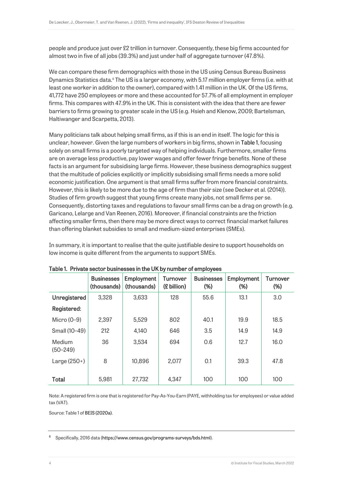people and produce just over £2 trillion in turnover. Consequently, these big firms accounted for almost two in five of all jobs (39.3%) and just under half of aggregate turnover (47.8%).

We can compare these firm demographics with those in the US using Census Bureau Business Dynamics Statistics data. 6 The US is a larger economy, with 5.17 million employer firms (i.e. with at least one worker in addition to the owner), compared with 1.41 million in the UK. Of the US firms, 41,772 have 250 employees or more and these accounted for 57.7% of all employment in employer firms. This compares with 47.9% in the UK. This is consistent with the idea that there are fewer barriers to firms growing to greater scale in the US (e.g. Hsieh and Klenow, 2009; Bartelsman, Haltiwanger and Scarpetta, 2013).

Many politicians talk about helping small firms, as if this is an end in itself. The logic for this is unclear, however. Given the large numbers of workers in big firms, shown i[n Table 1,](#page-4-0) focusing solely on small firms is a poorly targeted way of helping individuals. Furthermore, smaller firms are on average less productive, pay lower wages and offer fewer fringe benefits. None of these facts is an argument for subsidising large firms. However, these business demographics suggest that the multitude of policies explicitly or implicitly subsidising small firms needs a more solid economic justification. One argument is that small firms suffer from more financial constraints. However, this is likely to be more due to the age of firm than their size (see Decker et al. (2014)). Studies of firm growth suggest that young firms create many jobs, not small firms per se. Consequently, distorting taxes and regulations to favour small firms can be a drag on growth (e.g. Garicano, Lelarge and Van Reenen, 2016). Moreover, if financial constraints are the friction affecting smaller firms, then there may be more direct ways to correct financial market failures than offering blanket subsidies to small and medium-sized enterprises (SMEs).

In summary, it is important to realise that the quite justifiable desire to support households on low income is quite different from the arguments to support SMEs.

|                        | <b>Businesses</b><br>(thousands) | <b>Employment</b><br>(thousands) | <b>Turnover</b><br>(£ billion) | <b>Businesses</b><br>(% ) | Employment<br>(%) | <b>Turnover</b><br>(% ) |
|------------------------|----------------------------------|----------------------------------|--------------------------------|---------------------------|-------------------|-------------------------|
| Unregistered           | 3,328                            | 3,633                            | 128                            | 55.6                      | 13.1              | 3.0                     |
| Registered:            |                                  |                                  |                                |                           |                   |                         |
| Micro $(0-9)$          | 2,397                            | 5,529                            | 802                            | 40.1                      | 19.9              | 18.5                    |
| Small (10-49)          | 212                              | 4,140                            | 646                            | 3.5                       | 14.9              | 14.9                    |
| Medium<br>$(50 - 249)$ | 36                               | 3,534                            | 694                            | 0.6                       | 12.7              | 16.0                    |
| Large $(250+)$         | 8                                | 10,896                           | 2,077                          | 0.1                       | 39.3              | 47.8                    |
| <b>Total</b>           | 5,981                            | 27,732                           | 4,347                          | 100                       | 100               | 100                     |

<span id="page-4-0"></span>

|  | Table 1. Private sector businesses in the UK by number of employees |
|--|---------------------------------------------------------------------|
|--|---------------------------------------------------------------------|

Note: A registered firm is one that is registered for Pay-As-You-Earn (PAYE, withholding tax for employees) or value added tax (VAT).

Source: Table 1 o[f BEIS \(2020a\).](#page-37-0) 

Specifically, 2016 data [\(https://www.census.gov/programs-surveys/bds.html\)](https://www.census.gov/programs-surveys/bds.html). 6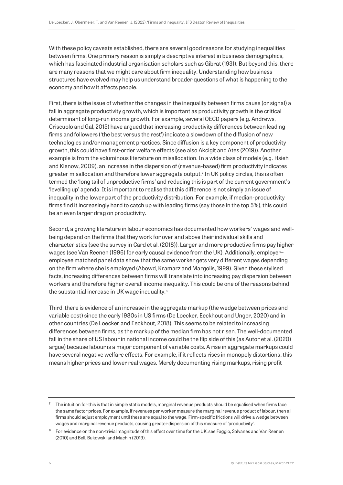With these policy caveats established, there are several good reasons for studying inequalities between firms. One primary reason is simply a descriptive interest in business demographics, which has fascinated industrial organisation scholars such as Gibrat (1931). But beyond this, there are many reasons that we might care about firm inequality. Understanding how business structures have evolved may help us understand broader questions of what is happening to the economy and how it affects people.

First, there is the issue of whether the changes in the inequality between firms cause (or signal) a fall in aggregate productivity growth, which is important as productivity growth is the critical determinant of long-run income growth. For example, several OECD papers (e.g. Andrews, Criscuolo and Gal, 2015) have argued that increasing productivity differences between leading firms and followers ('the best versus the rest') indicate a slowdown of the diffusion of new technologies and/or management practices. Since diffusion is a key component of productivity growth, this could have first-order welfare effects (see also Akcigit and Ates (2019)). Another example is from the voluminous literature on misallocation. In a wide class of models (e.g. Hsieh and Klenow, 2009), an increase in the dispersion of (revenue-based) firm productivity indicates greater misallocation and therefore lower aggregate output.7 In UK policy circles, this is often termed the 'long tail of unproductive firms' and reducing this is part of the current government's 'levelling up' agenda. It is important to realise that this difference is not simply an issue of inequality in the lower part of the productivity distribution. For example, if median-productivity firms find it increasingly hard to catch up with leading firms (say those in the top 5%), this could be an even larger drag on productivity.

Second, a growing literature in labour economics has documented how workers' wages and wellbeing depend on the firms that they work for over and above their individual skills and characteristics (see the survey in Card et al. (2018)). Larger and more productive firms pay higher wages (see Van Reenen (1996) for early causal evidence from the UK). Additionally, employer– employee matched panel data show that the same worker gets very different wages depending on the firm where she is employed (Abowd, Kramarz and Margolis, 1999). Given these stylised facts, increasing differences between firms will translate into increasing pay dispersion between workers and therefore higher overall income inequality. This could be one of the reasons behind the substantial increase in UK wage inequality.<sup>8</sup>

Third, there is evidence of an increase in the aggregate markup (the wedge between prices and variable cost) since the early 1980s in US firms (De Loecker, Eeckhout and Unger, 2020) and in other countries (De Loecker and Eeckhout, 2018). This seems to be related to increasing differences between firms, as the markup of the median firm has not risen. The well-documented fall in the share of US labour in national income could be the flip side of this (as Autor et al. (2020) argue) because labour is a major component of variable costs. A rise in aggregate markups could have several negative welfare effects. For example, if it reflects rises in monopoly distortions, this means higher prices and lower real wages. Merely documenting rising markups, rising profit

<sup>7</sup> The intuition for this is that in simple static models, marginal revenue products should be equalised when firms face the same factor prices. For example, if revenues per worker measure the marginal revenue product of labour, then all firms should adjust employment until these are equal to the wage. Firm-specific frictions will drive a wedge between wages and marginal revenue products, causing greater dispersion of this measure of 'productivity'.

<sup>&</sup>lt;sup>8</sup> For evidence on the non-trivial magnitude of this effect over time for the UK, see Faggio, Salvanes and Van Reenen (2010) and Bell, Bukowski and Machin (2019).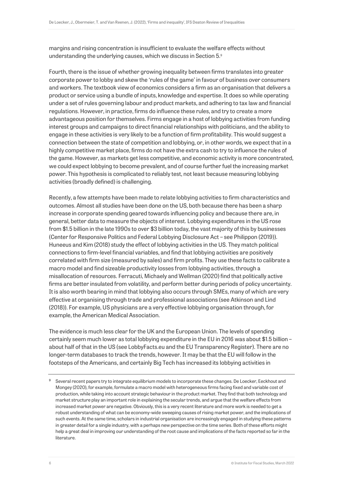margins and rising concentration is insufficient to evaluate the welfare effects without understanding the underlying causes, which we discuss in Section 5. 9

Í Í Fourth, there is the issue of whether growing inequality between firms translates into greater corporate power to lobby and skew the 'rules of the game' in favour of business over consumers and workers. The textbook view of economics considers a firm as an organisation that delivers a product or service using a bundle of inputs, knowledge and expertise. It does so while operating under a set of rules governing labour and product markets, and adhering to tax law and financial regulations. However, in practice, firms do influence these rules, and try to create a more advantageous position for themselves. Firms engage in a host of lobbying activities from funding interest groups and campaigns to direct financial relationships with politicians, and the ability to engage in these activities is very likely to be a function of firm profitability. This would suggest a connection between the state of competition and lobbying, or, in other words, we expect that in a highly competitive market place, firms do not have the extra cash to try to influence the rules of the game. However, as markets get less competitive, and economic activity is more concentrated, we could expect lobbying to become prevalent, and of course further fuel the increasing market power. This hypothesis is complicated to reliably test, not least because measuring lobbying activities (broadly defined) is challenging.

Recently, a few attempts have been made to relate lobbying activities to firm characteristics and outcomes. Almost all studies have been done on the US, both because there has been a sharp increase in corporate spending geared towards influencing policy and because there are, in general, better data to measure the objects of interest. Lobbying expenditures in the US rose from \$1.5 billion in the late 1990s to over \$3 billion today, the vast majority of this by businesses (Center for Responsive Politics and Federal Lobbying Disclosure Act – see Philippon (2019)). Huneeus and Kim (2018) study the effect of lobbying activities in the US. They match political connections to firm-level financial variables, and find that lobbying activities are positively correlated with firm size (measured by sales) and firm profits. They use these facts to calibrate a macro model and find sizeable productivity losses from lobbying activities, through a misallocation of resources. Ferracuti, Michaely and Wellman (2020) find that politically active firms are better insulated from volatility, and perform better during periods of policy uncertainty. It is also worth bearing in mind that lobbying also occurs through SMEs, many of which are very effective at organising through trade and professional associations (see Atkinson and Lind (2018)). For example, US physicians are a very effective lobbying organisation through, for example, the American Medical Association.

The evidence is much less clear for the UK and the European Union. The levels of spending certainly seem much lower as total lobbying expenditure in the EU in 2016 was about \$1.5 billion – about half of that in the US (see [LobbyFacts.eu](https://LobbyFacts.eu) and the EU Transparency Register). There are no longer-term databases to track the trends, however. It may be that the EU will follow in the footsteps of the Americans, and certainly Big Tech has increased its lobbying activities in

Several recent papers try to integrate equilibrium models to incorporate these changes. De Loecker, Eeckhout and Mongey (2020), for example, formulate a macro model with heterogeneous firms facing fixed and variable cost of production, while taking into account strategic behaviour in the product market. They find that both technology and market structure play an important role in explaining the secular trends, and argue that the welfare effects from increased market power are negative. Obviously, this is a very recent literature and more work is needed to get a robust understanding of what can be economy-wide sweeping causes of rising market power, and the implications of such events. At the same time, scholars in industrial organisation are increasingly engaged in studying these patterns in greater detail for a single industry, with a perhaps new perspective on the time series. Both of these efforts might help a great deal in improving our understanding of the root cause and implications of the facts reported so far in the literature. 9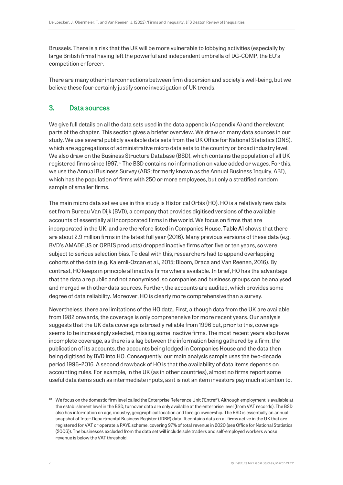Brussels. There is a risk that the UK will be more vulnerable to lobbying activities (especially by large British firms) having left the powerful and independent umbrella of DG-COMP, the EU's competition enforcer.

There are many other interconnections between firm dispersion and society's well-being, but we believe these four certainly justify some investigation of UK trends.

### 3. Data sources

We give full details on all the data sets used in the data appendix (Appendix A) and the relevant parts of the chapter. This section gives a briefer overview. We draw on many data sources in our study. We use several publicly available data sets from the UK Office for National Statistics (ONS), which are aggregations of administrative micro data sets to the country or broad industry level. We also draw on the Business Structure Database (BSD), which contains the population of all UK registered firms since 1997.<sup>10</sup> The BSD contains no information on value added or wages. For this, we use the Annual Business Survey (ABS; formerly known as the Annual Business Inquiry, ABI), which has the population of firms with 250 or more employees, but only a stratified random sample of smaller firms.

The main micro data set we use in this study is Historical Orbis (HO). HO is a relatively new data set from Bureau Van Dijk (BVD), a company that provides digitised versions of the available accounts of essentially all incorporated firms in the world. We focus on firms that are incorporated in the UK, and are therefore listed in Companies House. Table A1 shows that there are about 2.9 million firms in the latest full year (2016). Many previous versions of these data (e.g. BVD's AMADEUS or ORBIS products) dropped inactive firms after five or ten years, so were subject to serious selection bias. To deal with this, researchers had to append overlapping cohorts of the data (e.g. Kalemli-Ozcan et al., 2015; Bloom, Draca and Van Reenen, 2016). By contrast, HO keeps in principle all inactive firms where available. In brief, HO has the advantage that the data are public and not anonymised, so companies and business groups can be analysed and merged with other data sources. Further, the accounts are audited, which provides some degree of data reliability. Moreover, HO is clearly more comprehensive than a survey.

Nevertheless, there are limitations of the HO data. First, although data from the UK are available from 1982 onwards, the coverage is only comprehensive for more recent years. Our analysis suggests that the UK data coverage is broadly reliable from 1996 but, prior to this, coverage seems to be increasingly selected, missing some inactive firms. The most recent years also have incomplete coverage, as there is a lag between the information being gathered by a firm, the publication of its accounts, the accounts being lodged in Companies House and the data then being digitised by BVD into HO. Consequently, our main analysis sample uses the two-decade period 1996–2016. A second drawback of HO is that the availability of data items depends on accounting rules. For example, in the UK (as in other countries), almost no firms report some useful data items such as intermediate inputs, as it is not an item investors pay much attention to.

<sup>&</sup>lt;sup>10</sup> We focus on the domestic firm level called the Enterprise Reference Unit ('Entref'). Although employment is available at the establishment level in the BSD, turnover data are only available at the enterprise level (from VAT records). The BSD also has information on age, industry, geographical location and foreign ownership. The BSD is essentially an annual snapshot of Inter-Departmental Business Register (IDBR) data. It contains data on all firms active in the UK that are registered for VAT or operate a PAYE scheme, covering 97% of total revenue in 2020 (see Office for National Statistics (2006)). The businesses excluded from the data set will include sole traders and self-employed workers whose revenue is below the VAT threshold.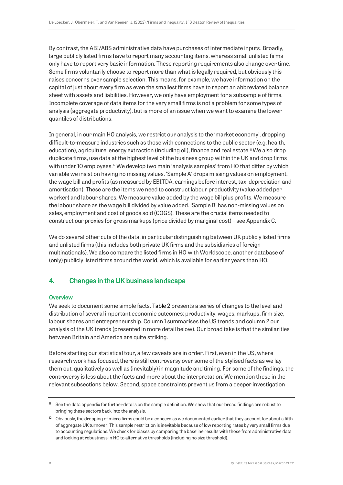By contrast, the ABI/ABS administrative data have purchases of intermediate inputs. Broadly, large publicly listed firms have to report many accounting items, whereas small unlisted firms only have to report very basic information. These reporting requirements also change over time. Some firms voluntarily choose to report more than what is legally required, but obviously this raises concerns over sample selection. This means, for example, we have information on the capital of just about every firm as even the smallest firms have to report an abbreviated balance sheet with assets and liabilities. However, we only have employment for a subsample of firms. Incomplete coverage of data items for the very small firms is not a problem for some types of analysis (aggregate productivity), but is more of an issue when we want to examine the lower quantiles of distributions.

Í In general, in our main HO analysis, we restrict our analysis to the 'market economy', dropping difficult-to-measure industries such as those with connections to the public sector (e.g. health, education), agriculture, energy extraction (including oil), finance and real estate.<sup>11</sup> We also drop duplicate firms, use data at the highest level of the business group within the UK and drop firms with under 10 employees.<sup>12</sup> We develop two main 'analysis samples' from HO that differ by which variable we insist on having no missing values. 'Sample A' drops missing values on employment, the wage bill and profits (as measured by EBITDA, earnings before interest, tax, depreciation and amortisation). These are the items we need to construct labour productivity (value added per worker) and labour shares. We measure value added by the wage bill plus profits. We measure the labour share as the wage bill divided by value added. 'Sample B' has non-missing values on sales, employment and cost of goods sold (COGS). These are the crucial items needed to construct our proxies for gross markups (price divided by marginal cost) – see Appendix C.

Í We do several other cuts of the data, in particular distinguishing between UK publicly listed firms and unlisted firms (this includes both private UK firms and the subsidiaries of foreign multinationals). We also compare the listed firms in HO with Worldscope, another database of (only) publicly listed firms around the world, which is available for earlier years than HO.

# 4. Changes in the UK business landscape

#### **Overview**

We seek to document some simple facts[. Table 2 p](#page-9-0)resents a series of changes to the level and distribution of several important economic outcomes: productivity, wages, markups, firm size, labour shares and entrepreneurship. Column 1 summarises the US trends and column 2 our analysis of the UK trends (presented in more detail below). Our broad take is that the similarities between Britain and America are quite striking.

Before starting our statistical tour, a few caveats are in order. First, even in the US, where research work has focused, there is still controversy over some of the stylised facts as we lay them out, qualitatively as well as (inevitably) in magnitude and timing. For some of the findings, the controversy is less about the facts and more about the interpretation. We mention these in the relevant subsections below. Second, space constraints prevent us from a deeper investigation

<sup>11</sup> See the data appendix for further details on the sample definition. We show that our broad findings are robust to bringing these sectors back into the analysis.

 $12$  Obviously, the dropping of micro firms could be a concern as we documented earlier that they account for about a fifth of aggregate UK turnover. This sample restriction is inevitable because of low reporting rates by very small firms due to accounting regulations. We check for biases by comparing the baseline results with those from administrative data and looking at robustness in HO to alternative thresholds (including no size threshold).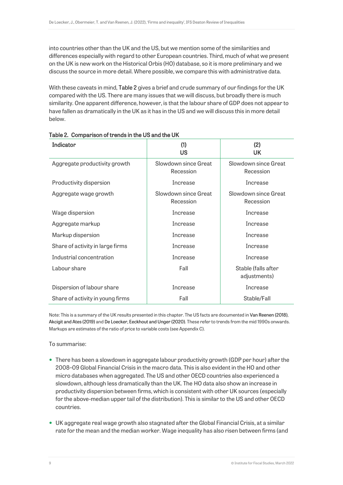into countries other than the UK and the US, but we mention some of the similarities and differences especially with regard to other European countries. Third, much of what we present on the UK is new work on the Historical Orbis (HO) database, so it is more preliminary and we discuss the source in more detail. Where possible, we compare this with administrative data.

With these caveats in mind, [Table 2 g](#page-9-0)ives a brief and crude summary of our findings for the UK compared with the US. There are many issues that we will discuss, but broadly there is much similarity. One apparent difference, however, is that the labour share of GDP does not appear to have fallen as dramatically in the UK as it has in the US and we will discuss this in more detail below.

| Indicator                        | (1)<br><b>US</b>                  | (2)<br>UK                           |  |
|----------------------------------|-----------------------------------|-------------------------------------|--|
| Aggregate productivity growth    | Slowdown since Great<br>Recession | Slowdown since Great<br>Recession   |  |
| Productivity dispersion          | Increase                          | Increase                            |  |
| Aggregate wage growth            | Slowdown since Great<br>Recession | Slowdown since Great<br>Recession   |  |
| Wage dispersion                  | Increase                          | Increase                            |  |
| Aggregate markup                 | Increase                          | Increase                            |  |
| Markup dispersion                | Increase                          | Increase                            |  |
| Share of activity in large firms | Increase                          | Increase                            |  |
| Industrial concentration         | Increase                          | Increase                            |  |
| Labour share                     | Fall                              | Stable (falls after<br>adjustments) |  |
| Dispersion of labour share       | Increase                          | Increase                            |  |
| Share of activity in young firms | Fall                              | Stable/Fall                         |  |

#### <span id="page-9-0"></span> $\overline{a}$ Table 2. Comparison of trends in the US and the UK

Note: This is a summary of the UK results presented in this chapter. The US facts are documented i[n Van Reenen \(2018\),](#page-41-0)  [Akcigit and Ates \(2019\) a](#page-36-0)n[d De Loecker, Eeckhout and Unger \(2020\).](#page-38-1) These refer to trends from the mid 1990s onwards. Markups are estimates of the ratio of price to variable costs (see Appendix C).

To summarise:

- Í There has been a slowdown in aggregate labour productivity growth (GDP per hour) after the 2008–09 Global Financial Crisis in the macro data. This is also evident in the HO and other micro databases when aggregated. The US and other OECD countries also experienced a slowdown, although less dramatically than the UK. The HO data also show an increase in productivity dispersion between firms, which is consistent with other UK sources (especially for the above-median upper tail of the distribution). This is similar to the US and other OECD countries.
- UK aggregate real wage growth also stagnated after the Global Financial Crisis, at a similar rate for the mean and the median worker. Wage inequality has also risen between firms (and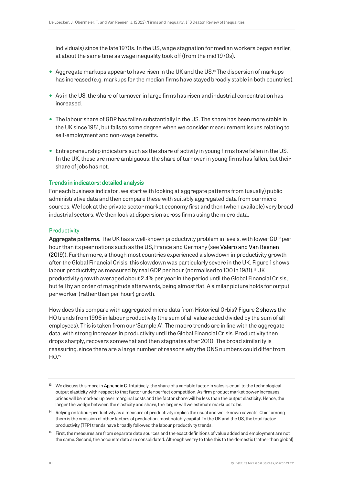individuals) since the late 1970s. In the US, wage stagnation for median workers began earlier, at about the same time as wage inequality took off (from the mid 1970s).

- Aggregate markups appear to have risen in the UK and the US.<sup>13</sup> The dispersion of markups has increased (e.g. markups for the median firms have stayed broadly stable in both countries).
- As in the US, the share of turnover in large firms has risen and industrial concentration has increased.
- The labour share of GDP has fallen substantially in the US. The share has been more stable in the UK since 1981, but falls to some degree when we consider measurement issues relating to self-employment and non-wage benefits.
- Entrepreneurship indicators such as the share of activity in young firms have fallen in the US. In the UK, these are more ambiguous: the share of turnover in young firms has fallen, but their share of jobs has not.

#### Trends in indicators: detailed analysis

For each business indicator, we start with looking at aggregate patterns from (usually) public administrative data and then compare these with suitably aggregated data from our micro sources. We look at the private sector market economy first and then (when available) very broad industrial sectors. We then look at dispersion across firms using the micro data.

#### **Productivity**

Í Aggregate patterns. The UK has a well-known productivity problem in levels, with lower GDP per hour than its peer nations such as the US, France and Germany (se[e Valero and Van Reenen](#page-41-1)  [\(2019\)](#page-41-1)). Furthermore, although most countries experienced a slowdown in productivity growth after the Global Financial Crisis, this slowdown was particularly severe in the UK. Figure 1 shows labour productivity as measured by real GDP per hour (normalised to 100 in 1981).<sup>14</sup> UK productivity growth averaged about 2.4% per year in the period until the Global Financial Crisis, but fell by an order of magnitude afterwards, being almost flat. A similar picture holds for output per worker (rather than per hour) growth.

How does this compare with aggregated micro data from Historical Orbis? Figure 2 shows the HO trends from 1996 in labour productivity (the sum of all value added divided by the sum of all employees). This is taken from our 'Sample A'. The macro trends are in line with the aggregate data, with strong increases in productivity until the Global Financial Crisis. Productivity then drops sharply, recovers somewhat and then stagnates after 2010. The broad similarity is reassuring, since there are a large number of reasons why the ONS numbers could differ from  $HO.<sup>15</sup>$ 

<sup>&</sup>lt;sup>13</sup> We discuss this more in Appendix C. Intuitively, the share of a variable factor in sales is equal to the technological output elasticity with respect to that factor under perfect competition. As firm product market power increases, prices will be marked up over marginal costs and the factor share will be less than the output elasticity. Hence, the larger the wedge between the elasticity and share, the larger will we estimate markups to be.

 $14$  Relying on labour productivity as a measure of productivity implies the usual and well-known caveats. Chief among them is the omission of other factors of production, most notably capital. In the UK and the US, the total factor productivity (TFP) trends have broadly followed the labour productivity trends.

<sup>&</sup>lt;sup>15</sup> First, the measures are from separate data sources and the exact definitions of value added and employment are not the same. Second, the accounts data are consolidated. Although we try to take this to the domestic (rather than global)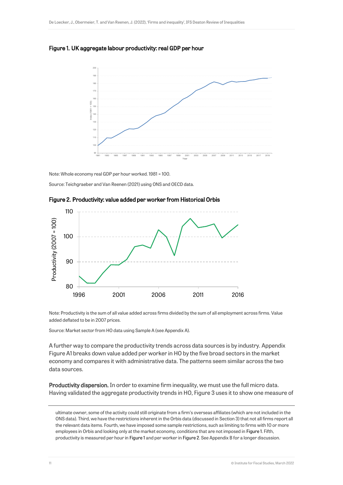<span id="page-11-0"></span>



Note: Whole economy real GDP per hour worked. 1981 = 100.

Source: Teichgraeber and Van Reenen (2021) using ONS and OECD data.



#### <span id="page-11-1"></span>Figure 2. Productivity: value added per worker from Historical Orbis

Note: Productivity is the sum of all value added across firms divided by the sum of all employment across firms. Value added deflated to be in 2007 prices.

Source: Market sector from HO data using Sample A (see Appendix A).

A further way to compare the productivity trends across data sources is by industry. Appendix Figure A1 breaks down value added per worker in HO by the five broad sectors in the market economy and compares it with administrative data. The patterns seem similar across the two data sources.

Í Productivity dispersion. In order to examine firm inequality, we must use the full micro data. Having validated the aggregate productivity trends in HO, Figure 3 uses it to show one measure of

ultimate owner, some of the activity could still originate from a firm's overseas affiliates (which are not included in the ONS data). Third, we have the restrictions inherent in the Orbis data (discussed in Section 3) that not all firms report all the relevant data items. Fourth, we have imposed some sample restrictions, such as limiting to firms with 10 or more employees in Orbis and looking only at the market economy, conditions that are not imposed i[n Figure 1.](#page-11-0) Fifth, productivity is measured per hour i[n Figure 1 a](#page-11-0)nd per worker i[n Figure 2.](#page-11-1) See Appendix B for a longer discussion.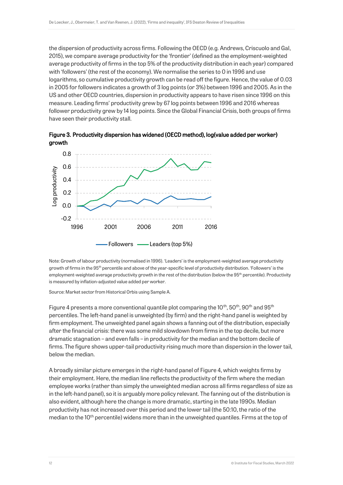$\overline{a}$ Í the dispersion of productivity across firms. Following the OECD (e.g. Andrews, Criscuolo and Gal, 2015), we compare average productivity for the 'frontier' (defined as the employment-weighted average productivity of firms in the top 5% of the productivity distribution in each year) compared with 'followers' (the rest of the economy). We normalise the series to 0 in 1996 and use logarithms, so cumulative productivity growth can be read off the figure. Hence, the value of 0.03 in 2005 for followers indicates a growth of 3 log points (or 3%) between 1996 and 2005. As in the US and other OECD countries, dispersion in productivity appears to have risen since 1996 on this measure. Leading firms' productivity grew by 67 log points between 1996 and 2016 whereas follower productivity grew by 14 log points. Since the Global Financial Crisis, both groups of firms have seen their productivity stall.



i. Figure 3. Productivity dispersion has widened (OECD method), log(value added per worker) growth

Note: Growth of labour productivity (normalised in 1996). 'Leaders' is the employment-weighted average productivity growth of firms in the 95<sup>th</sup> percentile and above of the year-specific level of productivity distribution. 'Followers' is the employment-weighted average productivity growth in the rest of the distribution (below the 95<sup>th</sup> percentile). Productivity is measured by inflation-adjusted value added per worker.

Source: Market sector from Historical Orbis using Sample A.

Figure 4 presents a more conventional quantile plot comparing the 10<sup>th</sup>, 50<sup>th</sup>, 90<sup>th</sup> and 95<sup>th</sup> percentiles. The left-hand panel is unweighted (by firm) and the right-hand panel is weighted by firm employment. The unweighted panel again shows a fanning out of the distribution, especially after the financial crisis: there was some mild slowdown from firms in the top decile, but more dramatic stagnation – and even falls – in productivity for the median and the bottom decile of firms. The figure shows upper-tail productivity rising much more than dispersion in the lower tail, below the median.

A broadly similar picture emerges in the right-hand panel of Figure 4, which weights firms by their employment. Here, the median line reflects the productivity of the firm where the median employee works (rather than simply the unweighted median across all firms regardless of size as in the left-hand panel), so it is arguably more policy relevant. The fanning out of the distribution is also evident, although here the change is more dramatic, starting in the late 1990s. Median productivity has not increased over this period and the lower tail (the 50:10, the ratio of the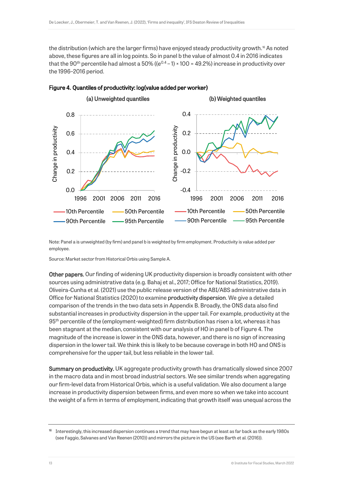the distribution (which are the larger firms) have enjoyed steady productivity growth.<sup>16</sup> As noted above, these figures are all in log points. So in panel b the value of almost 0.4 in 2016 indicates that the 90<sup>th</sup> percentile had almost a 50% (( $e^{0.4}$  – 1) × 100 = 49.2%) increase in productivity over the 1996–2016 period.





Note: Panel a is unweighted (by firm) and panel b is weighted by firm employment. Productivity is value added per employee.

Source: Market sector from Historical Orbis using Sample A.

Other papers. Our finding of widening UK productivity dispersion is broadly consistent with other sources using administrative data (e.g. Bahaj et al., 2017; Office for National Statistics, 2019). Oliveira-Cunha et al. (2021) use the public release version of the ABI/ABS administrative data in Office for National Statistics (2020) to examine productivity dispersion. We give a detailed comparison of the trends in the two data sets in Appendix B. Broadly, the ONS data also find substantial increases in productivity dispersion in the upper tail. For example, productivity at the  $95<sup>th</sup>$  percentile of the (employment-weighted) firm distribution has risen a lot, whereas it has been stagnant at the median, consistent with our analysis of HO in panel b of Figure 4. The magnitude of the increase is lower in the ONS data, however, and there is no sign of increasing dispersion in the lower tail. We think this is likely to be because coverage in both HO and ONS is comprehensive for the upper tail, but less reliable in the lower tail.

 $\overline{a}$ Summary on productivity. UK aggregate productivity growth has dramatically slowed since 2007 in the macro data and in most broad industrial sectors. We see similar trends when aggregating our firm-level data from Historical Orbis, which is a useful validation. We also document a large increase in productivity dispersion between firms, and even more so when we take into account the weight of a firm in terms of employment, indicating that growth itself was unequal across the

<sup>&</sup>lt;sup>16</sup> Interestingly, this increased dispersion continues a trend that may have begun at least as far back as the early 1980s (see Faggio, Salvanes and Van Reenen (2010)) and mirrors the picture in the US (see Barth et al. (2016)).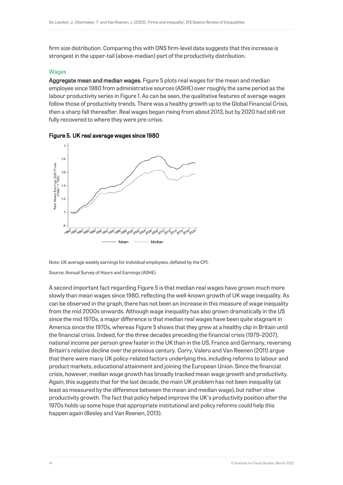firm size distribution. Comparing this with ONS firm-level data suggests that this increase is strongest in the upper-tail (above-median) part of the productivity distribution.

#### Wages

Aggregate mean and median wages. Figure 5 plots real wages for the mean and median employee since 1980 from administrative sources (ASHE) over roughly the same period as the labour productivity series in Figure 1. As can be seen, the qualitative features of average wages follow those of productivity trends. There was a healthy growth up to the Global Financial Crisis, then a sharp fall thereafter. Real wages began rising from about 2013, but by 2020 had still not fully recovered to where they were pre-crisis.





Note: UK average weekly earnings for individual employees, deflated by the CPI.

Source: Annual Survey of Hours and Earnings (ASHE).

A second important fact regarding Figure 5 is that median real wages have grown much more slowly than mean wages since 1980, reflecting the well-known growth of UK wage inequality. As can be observed in the graph, there has not been an increase in this measure of wage inequality from the mid 2000s onwards. Although wage inequality has also grown dramatically in the US since the mid 1970s, a major difference is that median real wages have been quite stagnant in America since the 1970s, whereas Figure 5 shows that they grew at a healthy clip in Britain until the financial crisis. Indeed, for the three decades preceding the financial crisis (1979–2007), national income per person grew faster in the UK than in the US, France and Germany, reversing Britain's relative decline over the previous century. Corry, Valero and Van Reenen (2011) argue that there were many UK policy-related factors underlying this, including reforms to labour and product markets, educational attainment and joining the European Union. Since the financial crisis, however, median wage growth has broadly tracked mean wage growth and productivity. Again, this suggests that for the last decade, the main UK problem has not been inequality (at least as measured by the difference between the mean and median wage), but rather slow productivity growth. The fact that policy helped improve the UK's productivity position after the 1970s holds up some hope that appropriate institutional and policy reforms could help this happen again (Besley and Van Reenen, 2013).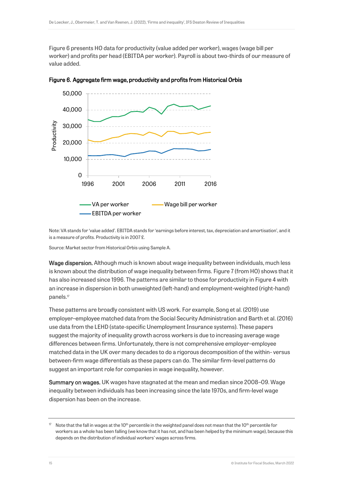Figure 6 presents HO data for productivity (value added per worker), wages (wage bill per worker) and profits per head (EBITDA per worker). Payroll is about two-thirds of our measure of value added.



 $\overline{a}$ Figure 6. Aggregate firm wage, productivity and profits from Historical Orbis

Note: VA stands for 'value added'. EBITDA stands for 'earnings before interest, tax, depreciation and amortisation', and it is a measure of profits. Productivity is in 2007 £.

Source: Market sector from Historical Orbis using Sample A.

Wage dispersion. Although much is known about wage inequality between individuals, much less is known about the distribution of wage inequality between firms. Figure 7 (from HO) shows that it has also increased since 1996. The patterns are similar to those for productivity in Figure 4 with an increase in dispersion in both unweighted (left-hand) and employment-weighted (right-hand) panels.<sup>17</sup>

These patterns are broadly consistent with US work. For example, Song et al. (2019) use employer–employee matched data from the Social Security Administration and Barth et al. (2016) use data from the LEHD (state-specific Unemployment Insurance systems). These papers suggest the majority of inequality growth across workers is due to increasing average wage differences between firms. Unfortunately, there is not comprehensive employer–employee matched data in the UK over many decades to do a rigorous decomposition of the within- versus between-firm wage differentials as these papers can do. The similar firm-level patterns do suggest an important role for companies in wage inequality, however.

Summary on wages. UK wages have stagnated at the mean and median since 2008–09. Wage inequality between individuals has been increasing since the late 1970s, and firm-level wage

Note that the fall in wages at the  $10<sup>th</sup>$  percentile in the weighted panel does not mean that the  $10<sup>th</sup>$  percentile for workers as a whole has been falling (we know that it has not, and has been helped by the minimum wage), because this depends on the distribution of individual workers' wages across firms.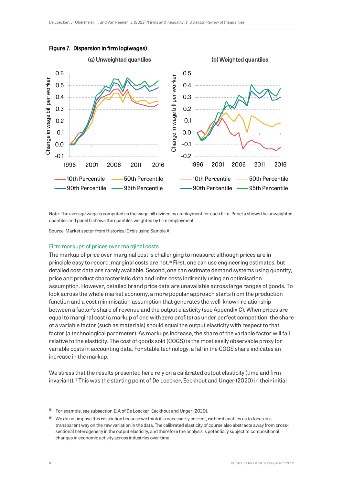

Figure 7. Dispersion in firm log(wages)

Note: The average wage is computed as the wage bill divided by employment for each firm. Panel a shows the unweighted quantiles and panel b shows the quantiles weighted by firm employment.

Source: Market sector from Historical Orbis using Sample A.

#### <span id="page-16-0"></span>Firm markups of prices over marginal costs

The markup of price over marginal cost is challenging to measure: although prices are in principle easy to record, marginal costs are not. 18 First, one can use engineering estimates, but detailed cost data are rarely available. Second, one can estimate demand systems using quantity, price and product characteristic data and infer costs indirectly using an optimisation assumption. However, detailed brand price data are unavailable across large ranges of goods. To look across the whole market economy, a more popular approach starts from the production function and a cost minimisation assumption that generates the well-known relationship between a factor's share of revenue and the output elasticity (see Appendix C). When prices are equal to marginal cost (a markup of one with zero profits) as under perfect competition, the share of a variable factor (such as materials) should equal the output elasticity with respect to that factor (a technological parameter). As markups increase, the share of the variable factor will fall relative to the elasticity. The cost of goods sold (COGS) is the most easily observable proxy for variable costs in accounting data. For stable technology, a fall in the COGS share indicates an increase in the markup.

We stress that the results presented here rely on a calibrated output elasticity (time and firm [invariant\).19](https://invariant).19) This was the starting point of De Loecker, Eeckhout and Unger (2020) in their initial

For example, see subsection II.A of De Loecker, Eeckhout and Unger (2020).

We do not impose this restriction because we think it is necessarily correct, rather it enables us to focus in a transparent way on the raw variation in the data. The calibrated elasticity of course also abstracts away from crosssectional heterogeneity in the output elasticity, and therefore the analysis is potentially subject to compositional changes in economic activity across industries over time.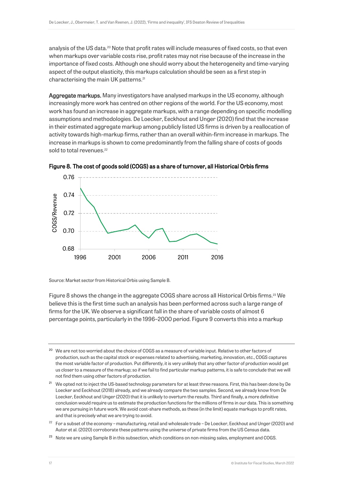analysis of the US data.<sup>20</sup> Note that profit rates will include measures of fixed costs, so that even when markups over variable costs rise, profit rates may not rise because of the increase in the importance of fixed costs. Although one should worry about the heterogeneity and time-varying aspect of the output elasticity, this markups calculation should be seen as a first step in characterising the main UK patterns.<sup>21</sup>

 $\overline{a}$ Aggregate markups. Many investigators have analysed markups in the US economy, although increasingly more work has centred on other regions of the world. For the US economy, most work has found an increase in aggregate markups, with a range depending on specific modelling assumptions and methodologies. De Loecker, Eeckhout and Unger (2020) find that the increase in their estimated aggregate markup among publicly listed US firms is driven by a reallocation of activity towards high-markup firms, rather than an overall within-firm increase in markups. The increase in markups is shown to come predominantly from the falling share of costs of goods sold to total revenues.<sup>22</sup>



i. Figure 8. The cost of goods sold (COGS) as a share of turnover, all Historical Orbis firms

Source: Market sector from Historical Orbis using Sample B.

Figure 8 shows the change in the aggregate COGS share across all Historical Orbis firms.<sup>23</sup> We believe this is the first time such an analysis has been performed across such a large range of firms for the UK. We observe a significant fall in the share of variable costs of almost 6

<sup>&</sup>lt;sup>20</sup> We are not too worried about the choice of COGS as a measure of variable input. Relative to other factors of production, such as the capital stock or expenses related to advertising, marketing, innovation, etc., COGS captures the most variable factor of production. Put differently, it is very unlikely that any other factor of production would get us closer to a measure of the markup; so if we fail to find particular markup patterns, it is safe to conclude that we will not find them using other factors of production.

<sup>&</sup>lt;sup>21</sup> We opted not to inject the US-based technology parameters for at least three reasons. First, this has been done by De Loecker and Eeckhout (2018) already, and we already compare the two samples. Second, we already know from De Loecker, Eeckhout and Unger (2020) that it is unlikely to overturn the results. Third and finally, a more definitive conclusion would require us to estimate the production functions for the millions of firms in our data. This is something we are pursuing in future work. We avoid cost-share methods, as these (in the limit) equate markups to profit rates, and that is precisely what we are trying to avoid.

<sup>&</sup>lt;sup>22</sup> For a subset of the economy – manufacturing, retail and wholesale trade – De Loecker, Eeckhout and Unger (2020) and Autor et al. (2020) corroborate these patterns using the universe of private firms from the US Census data.

<sup>&</sup>lt;sup>23</sup> Note we are using Sample B in this subsection, which conditions on non-missing sales, employment and COGS.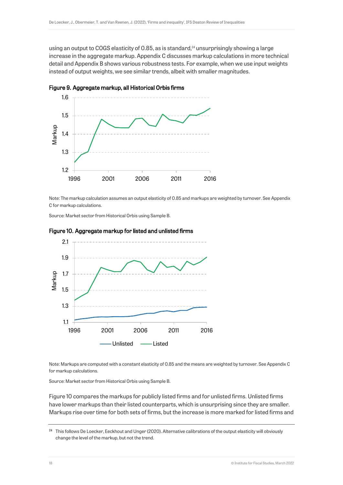using an output to COGS elasticity of 0.85, as is standard,<sup>24</sup> unsurprisingly showing a large increase in the aggregate markup. Appendix C discusses markup calculations in more technical detail and Appendix B shows various robustness tests. For example, when we use input weights instead of output weights, we see similar trends, albeit with smaller magnitudes.





Note: The markup calculation assumes an output elasticity of 0.85 and markups are weighted by turnover. See Appendix C for markup calculations.

Source: Market sector from Historical Orbis using Sample B.





Note: Markups are computed with a constant elasticity of 0.85 and the means are weighted by turnover. See Appendix C for markup calculations.

Source: Market sector from Historical Orbis using Sample B.

Figure 10 compares the markups for publicly listed firms and for unlisted firms. Unlisted firms have lower markups than their listed counterparts, which is unsurprising since they are smaller. Markups rise over time for both sets of firms, but the increase is more marked for listed firms and

<sup>&</sup>lt;sup>24</sup> This follows De Loecker, Eeckhout and Unger (2020). Alternative calibrations of the output elasticity will obviously change the level of the markup, but not the trend.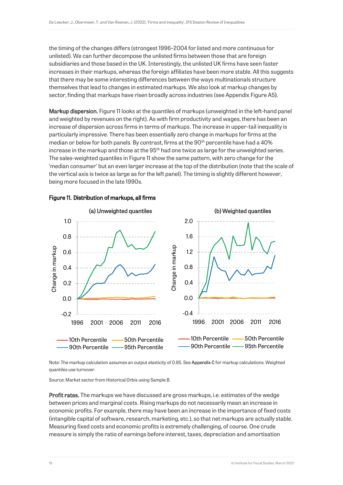the timing of the changes differs (strongest 1996–2004 for listed and more continuous for unlisted). We can further decompose the unlisted firms between those that are foreign subsidiaries and those based in the UK. Interestingly, the unlisted UK firms have seen faster increases in their markups, whereas the foreign affiliates have been more stable. All this suggests that there may be some interesting differences between the ways multinationals structure themselves that lead to changes in estimated markups. We also look at markup changes by sector, finding that markups have risen broadly across industries (see Appendix Figure A5).

Markup dispersion. Figure 11 looks at the quantiles of markups (unweighted in the left-hand panel and weighted by revenues on the right). As with firm productivity and wages, there has been an increase of dispersion across firms in terms of markups. The increase in upper-tail inequality is particularly impressive. There has been essentially zero change in markups for firms at the median or below for both panels. By contrast, firms at the 90<sup>th</sup> percentile have had a 40% increase in the markup and those at the 95<sup>th</sup> had one twice as large for the unweighted series. The sales-weighted quantiles in Figure 11 show the same pattern, with zero change for the 'median consumer' but an even larger increase at the top of the distribution (note that the scale of the vertical axis is twice as large as for the left panel). The timing is slightly different however, being more focused in the late 1990s.



#### Figure 11. Distribution of markups, all firms

Note: The markup calculation assumes an output elasticity of 0.85. See Appendix C for markup calculations. Weighted quantiles use turnover.

Source: Market sector from Historical Orbis using Sample B.

Profit rates. The markups we have discussed are gross markups, i.e. estimates of the wedge between prices and marginal costs. Rising markups do not necessarily mean an increase in economic profits. For example, there may have been an increase in the importance of fixed costs (intangible capital of software, research, marketing, etc.), so that net markups are actually stable. Measuring fixed costs and economic profits is extremely challenging, of course. One crude measure is simply the ratio of earnings before interest, taxes, depreciation and amortisation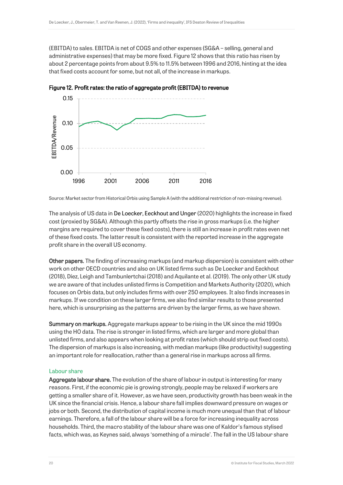(EBITDA) to sales. EBITDA is net of COGS and other expenses (SG&A – selling, general and administrative expenses) that may be more fixed. Figure 12 shows that this ratio has risen by about 2 percentage points from about 9.5% to 11.5% between 1996 and 2016, hinting at the idea that fixed costs account for some, but not all, of the increase in markups.



Figure 12. Profit rates: the ratio of aggregate profit (EBITDA) to revenue

Source: Market sector from Historical Orbis using Sample A (with the additional restriction of non-missing revenue).

The analysis of US data in De Loecker, Eeckhout and Unger (2020) highlights the increase in fixed cost (proxied by SG&A). Although this partly offsets the rise in gross markups (i.e. the higher margins are required to cover these fixed costs), there is still an increase in profit rates even net of these fixed costs. The latter result is consistent with the reported increase in the aggregate profit share in the overall US economy.

Other papers. The finding of increasing markups (and markup dispersion) is consistent with other work on other OECD countries and also on UK listed firms such as De Loecker and Eeckhout (2018), Díez, Leigh and Tambunlertchai (2018) and Aquilante et al. (2019). The only other UK study we are aware of that includes unlisted firms is Competition and Markets Authority (2020), which focuses on Orbis data, but only includes firms with over 250 employees. It also finds increases in markups. If we condition on these larger firms, we also find similar results to those presented here, which is unsurprising as the patterns are driven by the larger firms, as we have shown.

f, Summary on markups. Aggregate markups appear to be rising in the UK since the mid 1990s using the HO data. The rise is stronger in listed firms, which are larger and more global than unlisted firms, and also appears when looking at profit rates (which should strip out fixed costs). The dispersion of markups is also increasing, with median markups (like productivity) suggesting an important role for reallocation, rather than a general rise in markups across all firms.

#### Labour share

Í Aggregate labour share. The evolution of the share of labour in output is interesting for many reasons. First, if the economic pie is growing strongly, people may be relaxed if workers are getting a smaller share of it. However, as we have seen, productivity growth has been weak in the UK since the financial crisis. Hence, a labour share fall implies downward pressure on wages or jobs or both. Second, the distribution of capital income is much more unequal than that of labour earnings. Therefore, a fall of the labour share will be a force for increasing inequality across households. Third, the macro stability of the labour share was one of Kaldor's famous stylised Facts, which is unsurprising as the partners of the Miracleton of a miracle (The Miracleton of a miracleton of a miracle of the same said, always is of US data in De Loecker. Eackhout and Unger (2020) highlights the increa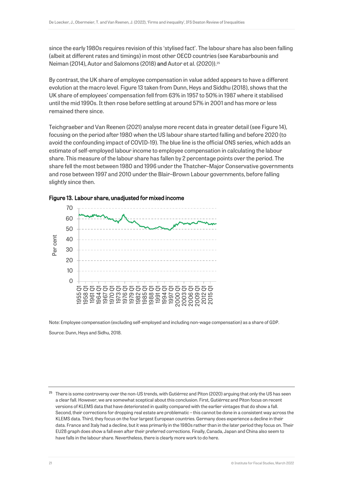since the early 1980s requires revision of this 'stylised fact'. The labour share has also been falling (albeit at different rates and timings) in most other OECD countries (see Karabarbounis and Neiman (2014), Autor and Salomons (2018) and Autor et al. [\(2020\)\).25](https://2020)).25) 

By contrast, the UK share of employee compensation in value added appears to have a different evolution at the macro level. Figure 13 taken from Dunn, Heys and Siddhu (2018), shows that the UK share of employees' compensation fell from 63% in 1957 to 50% in 1987 where it stabilised until the mid 1990s. It then rose before settling at around 57% in 2001 and has more or less remained there since.

Teichgraeber and Van Reenen (2021) analyse more recent data in greater detail (see Figure 14), focusing on the period after 1980 when the US labour share started falling and before 2020 (to avoid the confounding impact of COVID-19). The blue line is the official ONS series, which adds an estimate of self-employed labour income to employee compensation in calculating the labour share. This measure of the labour share has fallen by 2 percentage points over the period. The share fell the most between 1980 and 1996 under the Thatcher–Major Conservative governments and rose between 1997 and 2010 under the Blair–Brown Labour governments, before falling slightly since then.



#### Figure 13. Labour share, unadjusted for mixed income

Note: Employee compensation (excluding self-employed and including non-wage compensation) as a share of GDP. Source: Dunn, Heys and Sidhu, 2018.

<sup>&</sup>lt;sup>25</sup> There is some controversy over the non-US trends, with Gutiérrez and Piton (2020) arguing that only the US has seen a clear fall. However, we are somewhat sceptical about this conclusion. First, Gutiérrez and Piton focus on recent versions of KLEMS data that have deteriorated in quality compared with the earlier vintages that do show a fall. Second, their corrections for dropping real estate are problematic – this cannot be done in a consistent way across the KLEMS data. Third, they focus on the four largest European countries. Germany does experience a decline in their data. France and Italy had a decline, but it was primarily in the 1980s rather than in the later period they focus on. Their EU28 graph does show a fall even after their preferred corrections. Finally, Canada, Japan and China also seem to have falls in the labour share. Nevertheless, there is clearly more work to do here.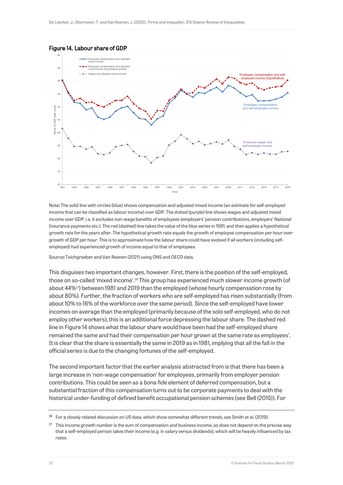



Note: The solid line with circles (blue) shows compensation and adjusted mixed income (an estimate for self-employed income that can be classified as labour income) over GDP. The dotted (purple) line shows wages and adjusted mixed income over GDP, i.e. it excludes non-wage benefits of employees (employers' pension contributions, employers' National Insurance payments etc.). The red (dashed) line takes the value of the blue series in 1981, and then applies a hypothetical growth rate for the years after. The hypothetical growth rate equals the growth of employee compensation per hour over growth of GDP per hour. This is to approximate how the labour share could have evolved if all workers (including selfemployed) had experienced growth of income equal to that of employees.

Source[: Teichgraeber and Van Reenen \(2021\) u](#page-41-2)sing ONS and OECD data.

This disguises two important changes, however. First, there is the position of the self-employed, those on so-called 'mixed [income](https://income�.26)'. 26 This group has experienced much slower income growth (of about 44%27) between 1981 and 2019 than the employed (whose hourly compensation rose by about 80%). Further, the fraction of workers who are self-employed has risen substantially (from about 10% to 16% of the workforce over the same period). Since the self-employed have lower incomes on average than the employed (primarily because of the solo self-employed, who do not employ other workers), this is an additional force depressing the labour share. The dashed red line in Figure 14 shows what the labour share would have been had the self-employed share remained the same and had their compensation per hour grown at the same rate as employees'. It is clear that the share is essentially the same in 2019 as in 1981, implying that all the fall in the official series is due to the changing fortunes of the self-employed.

The second important factor that the earlier analysis abstracted from is that there has been a large increase in 'non-wage compensation' for employees, primarily from employer pension contributions. This could be seen as a *bona fide* element of deferred compensation, but a substantial fraction of this compensation turns out to be corporate payments to deal with the historical under-funding of defined benefit occupational pension schemes (see Bell (2015)). For

<sup>&</sup>lt;sup>26</sup> For a closely related discussion on US data, which show somewhat different trends, see Smith et al. (2019).

 $27$  This income growth number is the sum of compensation and business income, so does not depend on the precise way that a self-employed person takes their income (e.g. in salary versus dividends), which will be heavily influenced by tax rates.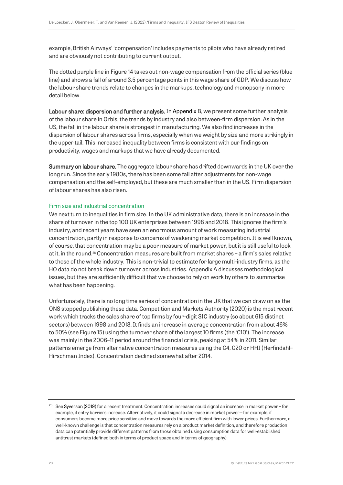example, British Airways' 'compensation' includes payments to pilots who have already retired and are obviously not contributing to current output.

The dotted purple line in Figure 14 takes out non-wage compensation from the official series (blue line) and shows a fall of around 3.5 percentage points in this wage share of GDP. We discuss how the labour share trends relate to changes in the markups, technology and monopsony in more detail below.

 Labour share: dispersion and further analysis. In Appendix B, we present some further analysis of the labour share in Orbis, the trends by industry and also between-firm dispersion. As in the US, the fall in the labour share is strongest in manufacturing. We also find increases in the dispersion of labour shares across firms, especially when we weight by size and more strikingly in the upper tail. This increased inequality between firms is consistent with our findings on productivity, wages and markups that we have already documented.

 $\overline{a}$ Summary on labour share. The aggregate labour share has drifted downwards in the UK over the long run. Since the early 1980s, there has been some fall after adjustments for non-wage compensation and the self-employed, but these are much smaller than in the US. Firm dispersion of labour shares has also risen.

#### Firm size and industrial concentration

We next turn to inequalities in firm size. In the UK administrative data, there is an increase in the share of turnover in the top 100 UK enterprises between 1998 and 2018. This ignores the firm's industry, and recent years have seen an enormous amount of work measuring industrial concentration, partly in response to concerns of weakening market competition. It is well known, of course, that concentration may be a poor measure of market power, but it is still useful to look at it, in the [round.](https://round.28) 28 Concentration measures are built from market shares – a firm's sales relative to those of the whole industry. This is non-trivial to estimate for large multi-industry firms, as the HO data do not break down turnover across industries. Appendix A discusses methodological issues, but they are sufficiently difficult that we choose to rely on work by others to summarise what has been happening.

Unfortunately, there is no long time series of concentration in the UK that we can draw on as the ONS stopped publishing these data. Competition and Markets Authority (2020) is the most recent work which tracks the sales share of top firms by four-digit SIC industry (so about 615 distinct sectors) between 1998 and 2018. It finds an increase in average concentration from about 46% to 50% (see Figure 15) using the turnover share of the largest 10 firms (the 'C10'). The increase was mainly in the 2006–11 period around the financial crisis, peaking at 54% in 2011. Similar patterns emerge from alternative concentration measures using the C4, C20 or HHI (Herfindahl– Hirschman Index). Concentration declined somewhat after 2014.

<sup>&</sup>lt;sup>28</sup> Se[e Syverson \(2019\) f](#page-40-0)or a recent treatment. Concentration increases could signal an increase in market power – for example, if entry barriers increase. Alternatively, it could signal a decrease in market power – for example, if consumers become more price sensitive and move towards the more efficient firm with lower prices. Furthermore, a well-known challenge is that concentration measures rely on a product market definition, and therefore production data can potentially provide different patterns from those obtained using consumption data for well-established antitrust markets (defined both in terms of product space and in terms of geography).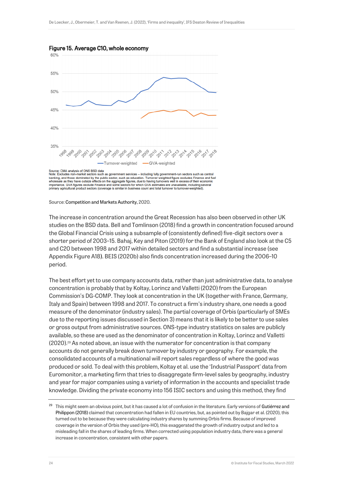

Figure 15. Average C10, whole economy

Note: Excludes non-market sectors such as government services - including fully government-run sectors such as central For the banking, and those dominated by the public sector, such as education. Turnover-weighted figure excludes Finance and fuel<br>wholesale as they have outsize effects on the aggregate figures, due to having turnovers well primary agricultural product sectors (coverage is similar in business count and total turnover to turnover-weighted)

#### Source: Competition and Markets Authority, 2020.

The increase in concentration around the Great Recession has also been observed in other UK studies on the BSD data. Bell and Tomlinson (2018) find a growth in concentration focused around the Global Financial Crisis using a subsample of (consistently defined) five-digit sectors over a shorter period of 2003–15. Bahaj, Key and Piton (2019) for the Bank of England also look at the C5 and C20 between 1998 and 2017 within detailed sectors and find a substantial increase (see Appendix Figure A18). BEIS (2020b) also finds concentration increased during the 2006–10 period.

 $\overline{a}$ The best effort yet to use company accounts data, rather than just administrative data, to analyse concentration is probably that by Koltay, Lorincz and Valletti (2020) from the European Commission's DG-COMP. They look at concentration in the UK (together with France, Germany, Italy and Spain) between 1998 and 2017. To construct a firm's industry share, one needs a good measure of the denominator (industry sales). The partial coverage of Orbis (particularly of SMEs due to the reporting issues discussed in Section 3) means that it is likely to be better to use sales or gross output from administrative sources. ONS-type industry statistics on sales are publicly available, so these are used as the denominator of concentration in Koltay, Lorincz and Valletti [\(2020\).](https://2020).29) 29 As noted above, an issue with the numerator for concentration is that company accounts do not generally break down turnover by industry or geography. For example, the consolidated accounts of a multinational will report sales regardless of where the good was produced or sold. To deal with this problem, Koltay et al. use the 'Industrial Passport' data from Euromonitor, a marketing firm that tries to disaggregate firm-level sales by geography, industry and year for major companies using a variety of information in the accounts and specialist trade knowledge. Dividing the private economy into 156 ISIC sectors and using this method, they find

<sup>&</sup>lt;sup>29</sup> This might seem an obvious point, but it has caused a lot of confusion in the literature. Early versions of Gutiérrez and [Philippon \(2018\) c](#page-39-0)laimed that concentration had fallen in EU countries, but, as pointed out by Bajgar et al. (2020), this turned out to be because they were calculating industry shares by summing Orbis firms. Because of improved coverage in the version of Orbis they used (pre-HO), this exaggerated the growth of industry output and led to a misleading fall in the shares of leading firms. When corrected using population industry data, there was a general increase in concentration, consistent with other papers.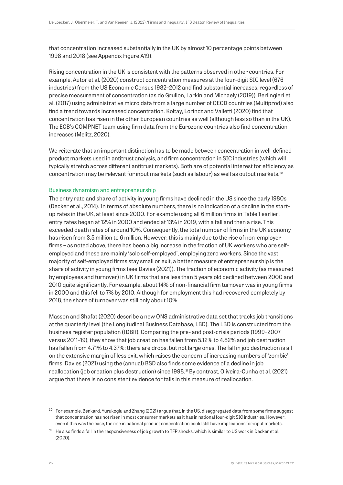that concentration increased substantially in the UK by almost 10 percentage points between 1998 and 2018 (see Appendix Figure A19).

Rising concentration in the UK is consistent with the patterns observed in other countries. For example, Autor et al. (2020) construct concentration measures at the four-digit SIC level (676 industries) from the US Economic Census 1982–2012 and find substantial increases, regardless of precise measurement of concentration (as do Grullon, Larkin and Michaely (2019)). Berlingieri et al. (2017) using administrative micro data from a large number of OECD countries (Multiprod) also find a trend towards increased concentration. Koltay, Lorincz and Valletti (2020) find that concentration has risen in the other European countries as well (although less so than in the UK). The ECB's COMPNET team using firm data from the Eurozone countries also find concentration increases (Melitz, 2020).

We reiterate that an important distinction has to be made between concentration in well-defined product markets used in antitrust analysis, and firm concentration in SIC industries (which will typically stretch across different antitrust markets). Both are of potential interest for efficiency as concentration may be relevant for input markets (such as labour) as well as output [markets.](https://markets.30) $^{\text{\tiny{30}}}$ 

#### Business dynamism and entrepreneurship

Í The entry rate and share of activity in young firms have declined in the US since the early 1980s (Decker et al., 2014). In terms of absolute numbers, there is no indication of a decline in the startup rates in the UK, at least since 2000. For example using all 6 million firms in Table 1 earlier, entry rates began at 12% in 2000 and ended at 13% in 2019, with a fall and then a rise. This exceeded death rates of around 10%. Consequently, the total number of firms in the UK economy has risen from 3.5 million to 6 million. However, this is mainly due to the rise of non-employer firms – as noted above, there has been a big increase in the fraction of UK workers who are selfemployed and these are mainly 'solo self-employed', employing zero workers. Since the vast majority of self-employed firms stay small or exit, a better measure of entrepreneurship is the share of activity in young firms (see Davies (2021)). The fraction of economic activity (as measured by employees and turnover) in UK firms that are less than 5 years old declined between 2000 and 2010 quite significantly. For example, about 14% of non-financial firm turnover was in young firms in 2000 and this fell to 7% by 2010. Although for employment this had recovered completely by 2018, the share of turnover was still only about 10%.

Masson and Shafat (2020) describe a new ONS administrative data set that tracks job transitions at the quarterly level (the Longitudinal Business Database, LBD). The LBD is constructed from the business register population (IDBR). Comparing the pre- and post-crisis periods (1999–2007 versus 2011–19), they show that job creation has fallen from 5.12% to 4.82% and job destruction has fallen from 4.71% to 4.37%: there are drops, but not large ones. The fall in job destruction is all on the extensive margin of less exit, which raises the concern of increasing numbers of 'zombie' firms. Davies (2021) using the (annual) BSD also finds some evidence of a decline in job reallocation (job creation plus destruction) since 1998.31 By contrast, Oliveira-Cunha et al. (2021) argue that there is no consistent evidence for falls in this measure of reallocation.

<sup>&</sup>lt;sup>30</sup> For example, Benkard, Yurukoglu and Zhang (2021) argue that, in the US, disaggregated data from some firms suggest that concentration has not risen in most consumer markets as it has in national four-digit SIC industries. However, even if this was the case, the rise in national product concentration could still have implications for input markets.

<sup>&</sup>lt;sup>31</sup> He also finds a fall in the responsiveness of job growth to TFP shocks, which is similar to US work in Decker et al. (2020).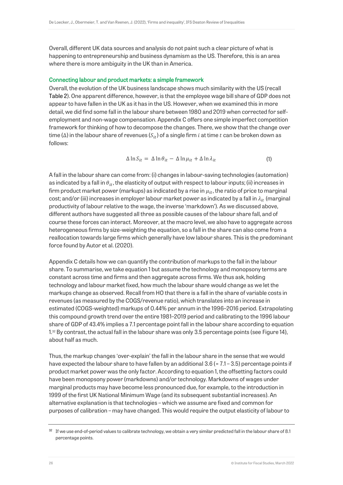Overall, different UK data sources and analysis do not paint such a clear picture of what is happening to entrepreneurship and business dynamism as the US. Therefore, this is an area where there is more ambiguity in the UK than in America.

#### <span id="page-26-0"></span>Connecting labour and product markets: a simple framework

Overall, the evolution of the UK business landscape shows much similarity with the US (recall [Table 2\)](#page-9-0). One apparent difference, however, is that the employee wage bill share of GDP does not appear to have fallen in the UK as it has in the US. However, when we examined this in more detail, we did find some fall in the labour share between 1980 and 2019 when corrected for selfemployment and non-wage compensation. Appendix C offers one simple imperfect competition framework for thinking of how to decompose the changes. There, we show that the change over time ( $\Delta$ ) in the labour share of revenues ( $S_{it}$ ) of a single firm *i* at time *t* can be broken down as follows:

$$
\Delta \ln S_{it} = \Delta \ln \theta_{it} - \Delta \ln \mu_{it} + \Delta \ln \lambda_{it} \tag{1}
$$

Í A fall in the labour share can come from: (i) changes in labour-saving technologies (automation) as indicated by a fall in  $\theta_{it}$ , the elasticity of output with respect to labour inputs; (ii) increases in firm product market power (markups) as indicated by a rise in  $\mu_{it}$ , the ratio of price to marginal cost; and/or (iii) increases in employer labour market power as indicated by a fall in  $\lambda_{it}$  (marginal productivity of labour relative to the wage, the inverse 'markdown'). As we discussed above, different authors have suggested all three as possible causes of the labour share fall, and of course these forces can interact. Moreover, at the macro level, we also have to aggregate across heterogeneous firms by size-weighting the equation, so a fall in the share can also come from a reallocation towards large firms which generally have low labour shares. This is the predominant force found by Autor et al. (2020).

Appendix C details how we can quantify the contribution of markups to the fall in the labour share. To summarise, we take equation 1 but assume the technology and monopsony terms are constant across time and firms and then aggregate across firms. We thus ask, holding technology and labour market fixed, how much the labour share would change as we let the markups change as observed. Recall from HO that there is a fall in the share of variable costs in revenues (as measured by the COGS/revenue ratio), which translates into an increase in estimated (COGS-weighted) markups of 0.44% per annum in the 1996–2016 period. Extrapolating this compound growth trend over the entire 1981–2019 period and calibrating to the 1996 labour share of GDP of 43.4% implies a 7.1 percentage point fall in the labour share according to equation  $1.^{\circ}$  By contrast, the actual fall in the labour share was only 3.5 percentage points (see Figure 14), about half as much.

 $\overline{a}$ Thus, the markup changes 'over-explain' the fall in the labour share in the sense that we would have expected the labour share to have fallen by an additional  $3.6$  (= 7.1 – 3.5) percentage points if product market power was the only factor. According to equation 1, the offsetting factors could have been monopsony power (markdowns) and/or technology. Markdowns of wages under marginal products may have become less pronounced due, for example, to the introduction in 1999 of the first UK National Minimum Wage (and its subsequent substantial increases). An alternative explanation is that technologies – which we assume are fixed and common for purposes of calibration – may have changed. This would require the output elasticity of labour to

<sup>&</sup>lt;sup>32</sup> If we use end-of-period values to calibrate technology, we obtain a very similar predicted fall in the labour share of 8.1 percentage points.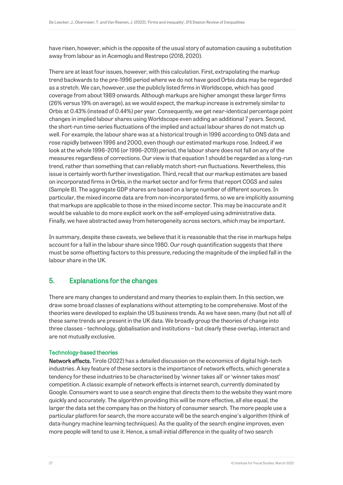have risen, however, which is the opposite of the usual story of automation causing a substitution away from labour as in Acemoglu and Restrepo (2018, 2020).

 $\overline{a}$ There are at least four issues, however, with this calculation. First, extrapolating the markup trend backwards to the pre-1996 period where we do not have good Orbis data may be regarded as a stretch. We can, however, use the publicly listed firms in Worldscope, which has good coverage from about 1989 onwards. Although markups are higher amongst these larger firms (26% versus 19% on average), as we would expect, the markup increase is extremely similar to Orbis at 0.43% (instead of 0.44%) per year. Consequently, we get near-identical percentage point changes in implied labour shares using Worldscope even adding an additional 7 years. Second, the short-run time-series fluctuations of the implied and actual labour shares do not match up well. For example, the labour share was at a historical trough in 1996 according to ONS data and rose rapidly between 1996 and 2000, even though our estimated markups rose. Indeed, if we look at the whole 1996–2016 (or 1996–2019) period, the labour share does not fall on any of the measures regardless of corrections. Our view is that equation 1 should be regarded as a long-run trend, rather than something that can reliably match short-run fluctuations. Nevertheless, this issue is certainly worth further investigation. Third, recall that our markup estimates are based on incorporated firms in Orbis, in the market sector and for firms that report COGS and sales (Sample B). The aggregate GDP shares are based on a large number of different sources. In particular, the mixed income data are from non-incorporated firms, so we are implicitly assuming that markups are applicable to those in the mixed income sector. This may be inaccurate and it would be valuable to do more explicit work on the self-employed using administrative data. Finally, we have abstracted away from heterogeneity across sectors, which may be important.

In summary, despite these caveats, we believe that it is reasonable that the rise in markups helps account for a fall in the labour share since 1980. Our rough quantification suggests that there must be some offsetting factors to this pressure, reducing the magnitude of the implied fall in the labour share in the UK.

# 5. Explanations for the changes

There are many changes to understand and many theories to explain them. In this section, we draw some broad classes of explanations without attempting to be comprehensive. Most of the theories were developed to explain the US business trends. As we have seen, many (but not all) of these same trends are present in the UK data. We broadly group the theories of change into three classes – technology, globalisation and institutions – but clearly these overlap, interact and are not mutually exclusive.

#### Technology-based theories

Network effects. Tirole (2022) has a detailed discussion on the economics of digital high-tech industries. A key feature of these sectors is the importance of network effects, which generate a tendency for these industries to be characterised by 'winner takes all' or 'winner takes most' competition. A classic example of network effects is internet search, currently dominated by Google. Consumers want to use a search engine that directs them to the website they want more quickly and accurately. The algorithm providing this will be more effective, all else equal, the larger the data set the company has on the history of consumer search. The more people use a particular platform for search, the more accurate will be the search engine's algorithm (think of data-hungry machine learning techniques). As the quality of the search engine improves, even more people will tend to use it. Hence, a small initial difference in the quality of two search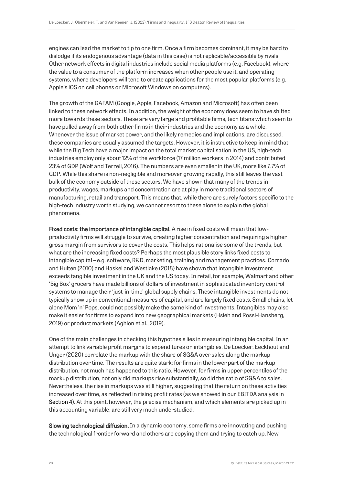engines can lead the market to tip to one firm. Once a firm becomes dominant, it may be hard to dislodge if its endogenous advantage (data in this case) is not replicable/accessible by rivals. Other network effects in digital industries include social media platforms (e.g. Facebook), where the value to a consumer of the platform increases when other people use it, and operating systems, where developers will tend to create applications for the most popular platforms (e.g. Apple's iOS on cell phones or Microsoft Windows on computers).

The growth of the GAFAM (Google, Apple, Facebook, Amazon and Microsoft) has often been linked to these network effects. In addition, the weight of the economy does seem to have shifted more towards these sectors. These are very large and profitable firms, tech titans which seem to have pulled away from both other firms in their industries and the economy as a whole. Whenever the issue of market power, and the likely remedies and implications, are discussed, these companies are usually assumed the targets. However, it is instructive to keep in mind that while the Big Tech have a major impact on the total market capitalisation in the US, high-tech industries employ only about 12% of the workforce (17 million workers in 2014) and contributed 23% of GDP (Wolf and Terrell, 2016). The numbers are even smaller in the UK, more like 7.7% of GDP. While this share is non-negligible and moreover growing rapidly, this still leaves the vast bulk of the economy outside of these sectors. We have shown that many of the trends in productivity, wages, markups and concentration are at play in more traditional sectors of manufacturing, retail and transport. This means that, while there are surely factors specific to the high-tech industry worth studying, we cannot resort to these alone to explain the global phenomena.

Í Fixed costs: the importance of intangible capital. A rise in fixed costs will mean that lowproductivity firms will struggle to survive, creating higher concentration and requiring a higher gross margin from survivors to cover the costs. This helps rationalise some of the trends, but what are the increasing fixed costs? Perhaps the most plausible story links fixed costs to intangible capital – e.g. software, R&D, marketing, training and management practices. Corrado and Hulten (2010) and Haskel and Westlake (2018) have shown that intangible investment exceeds tangible investment in the UK and the US today. In retail, for example, Walmart and other 'Big Box' grocers have made billions of dollars of investment in sophisticated inventory control systems to manage their 'just-in-time' global supply chains. These intangible investments do not typically show up in conventional measures of capital, and are largely fixed costs. Small chains, let alone Mom 'n' Pops, could not possibly make the same kind of investments. Intangibles may also make it easier for firms to expand into new geographical markets (Hsieh and Rossi-Hansberg, 2019) or product markets (Aghion et al., 2019).

One of the main challenges in checking this hypothesis lies in measuring intangible capital. In an attempt to link variable profit margins to expenditures on intangibles, De Loecker, Eeckhout and Unger (2020) correlate the markup with the share of SG&A over sales along the markup distribution over time. The results are quite stark: for firms in the lower part of the markup distribution, not much has happened to this ratio. However, for firms in upper percentiles of the markup distribution, not only did markups rise substantially, so did the ratio of SG&A to sales. Nevertheless, the rise in markups was still higher, suggesting that the return on these activities increased over time, as reflected in rising profit rates (as we showed in our EBITDA analysis in [Section](#page-16-0) 4). At this point, however, the precise mechanism, and which elements are picked up in this accounting variable, are still very much understudied.

Slowing technological diffusion. In a dynamic economy, some firms are innovating and pushing the technological frontier forward and others are copying them and trying to catch up. New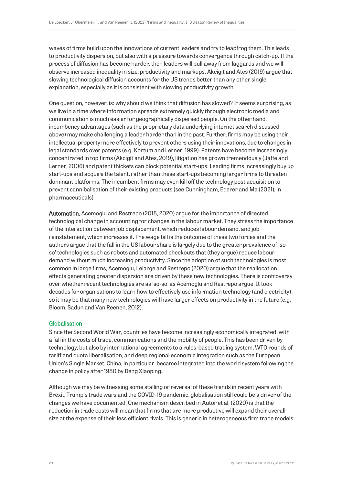waves of firms build upon the innovations of current leaders and try to leapfrog them. This leads to productivity dispersion, but also with a pressure towards convergence through catch-up. If the process of diffusion has become harder, then leaders will pull away from laggards and we will observe increased inequality in size, productivity and markups. Akcigit and Ates (2019) argue that slowing technological diffusion accounts for the US trends better than any other single explanation, especially as it is consistent with slowing productivity growth.

One question, however, is: why should we think that diffusion has slowed? It seems surprising, as we live in a time where information spreads extremely quickly through electronic media and communication is much easier for geographically dispersed people. On the other hand, incumbency advantages (such as the proprietary data underlying internet search discussed above) may make challenging a leader harder than in the past. Further, firms may be using their intellectual property more effectively to prevent others using their innovations, due to changes in legal standards over patents (e.g. Kortum and Lerner, 1999). Patents have become increasingly concentrated in top firms (Akcigit and Ates, 2019), litigation has grown tremendously (Jaffe and Lerner, 2006) and patent thickets can block potential start-ups. Leading firms increasingly buy up start-ups and acquire the talent, rather than these start-ups becoming larger firms to threaten dominant platforms. The incumbent firms may even kill off the technology post acquisition to prevent cannibalisation of their existing products (see Cunningham, Ederer and Ma (2021), in pharmaceuticals).

Automation. Acemoglu and Restrepo (2018, 2020) argue for the importance of directed technological change in accounting for changes in the labour market. They stress the importance of the interaction between job displacement, which reduces labour demand, and job reinstatement, which increases it. The wage bill is the outcome of these two forces and the authors argue that the fall in the US labour share is largely due to the greater prevalence of 'soso' technologies such as robots and automated checkouts that (they argue) reduce labour demand without much increasing productivity. Since the adoption of such technologies is most common in large firms, Acemoglu, Lelarge and Restrepo (2020) argue that the reallocation effects generating greater dispersion are driven by these new technologies. There is controversy over whether recent technologies are as 'so-so' as Acemoglu and Restrepo argue. It took decades for organisations to learn how to effectively use information technology (and electricity), so it may be that many new technologies will have larger effects on productivity in the future (e.g. Bloom, Sadun and Van Reenen, 2012).

#### Globalisation

Since the Second World War, countries have become increasingly economically integrated, with a fall in the costs of trade, communications and the mobility of people. This has been driven by technology, but also by international agreements to a rules-based trading system, WTO rounds of tariff and quota liberalisation, and deep regional economic integration such as the European Union's Single Market. China, in particular, became integrated into the world system following the change in policy after 1980 by Deng Xiaoping.

Although we may be witnessing some stalling or reversal of these trends in recent years with Brexit, Trump's trade wars and the COVID-19 pandemic, globalisation still could be a driver of the changes we have documented. One mechanism described in Autor et al. (2020) is that the reduction in trade costs will mean that firms that are more productive will expand their overall size at the expense of their less efficient rivals. This is generic in heterogeneous firm trade models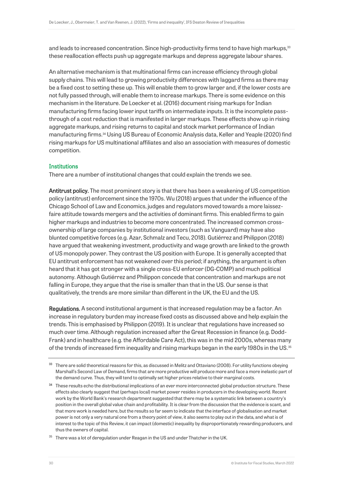and leads to increased concentration. Since high-productivity firms tend to have high markups, 33 these reallocation effects push up aggregate markups and depress aggregate labour shares.

An alternative mechanism is that multinational firms can increase efficiency through global supply chains. This will lead to growing productivity differences with laggard firms as there may be a fixed cost to setting these up. This will enable them to grow larger and, if the lower costs are not fully passed through, will enable them to increase markups. There is some evidence on this mechanism in the literature. De Loecker et al. (2016) document rising markups for Indian manufacturing firms facing lower input tariffs on intermediate inputs. It is the incomplete passthrough of a cost reduction that is manifested in larger markups. These effects show up in rising aggregate markups, and rising returns to capital and stock market performance of Indian manufacturing [firms.34](https://firms.34) Using US Bureau of Economic Analysis data, Keller and Yeaple (2020) find rising markups for US multinational affiliates and also an association with measures of domestic competition.

#### **Institutions**

There are a number of institutional changes that could explain the trends we see.

Antitrust policy. The most prominent story is that there has been a weakening of US competition policy (antitrust) enforcement since the 1970s. Wu (2018) argues that under the influence of the Chicago School of Law and Economics, judges and regulators moved towards a more laissezfaire attitude towards mergers and the activities of dominant firms. This enabled firms to gain higher markups and industries to become more concentrated. The increased common crossownership of large companies by institutional investors (such as Vanguard) may have also blunted competitive forces (e.g. Azar, Schmalz and Tecu, 2018). Gutiérrez and Philippon (2018) have argued that weakening investment, productivity and wage growth are linked to the growth of US monopoly power. They contrast the US position with Europe. It is generally accepted that EU antitrust enforcement has not weakened over this period; if anything, the argument is often heard that it has got stronger with a single cross-EU enforcer (DG-COMP) and much political autonomy. Although Gutiérrez and Philippon concede that concentration and markups are not falling in Europe, they argue that the rise is smaller than that in the US. Our sense is that qualitatively, the trends are more similar than different in the UK, the EU and the US.

Requiations. A second institutional argument is that increased regulation may be a factor. An increase in regulatory burden may increase fixed costs as discussed above and help explain the trends. This is emphasised by Philippon (2019). It is unclear that regulations have increased so much over time. Although regulation increased after the Great Recession in finance (e.g. Dodd-Frank) and in healthcare (e.g. the Affordable Care Act), this was in the mid 2000s, whereas many of the trends of increased firm inequality and rising markups began in the early 1980s in the US.<sup>35</sup>

<sup>33</sup> There are solid theoretical reasons for this, as discussed in Melitz and Ottaviano (2008). For utility functions obeying Marshall's Second Law of Demand, firms that are more productive will produce more and face a more inelastic part of the demand curve. Thus, they will tend to optimally set higher prices relative to their marginal costs.

<sup>&</sup>lt;sup>34</sup> These results echo the distributional implications of an ever more interconnected global production structure. These effects also clearly suggest that (perhaps local) market power resides in producers in the developing world. Recent work by the World Bank's research department suggested that there may be a systematic link between a country's position in the overall global value chain and profitability. It is clear from the discussion that the evidence is scant, and that more work is needed here, but the results so far seem to indicate that the interface of globalisation and market power is not only a very natural one from a theory point of view, it also seems to play out in the data, and what is of interest to the topic of this Review, it can impact (domestic) inequality by disproportionately rewarding producers, and thus the owners of capital.

<sup>&</sup>lt;sup>35</sup> There was a lot of deregulation under Reagan in the US and under Thatcher in the UK.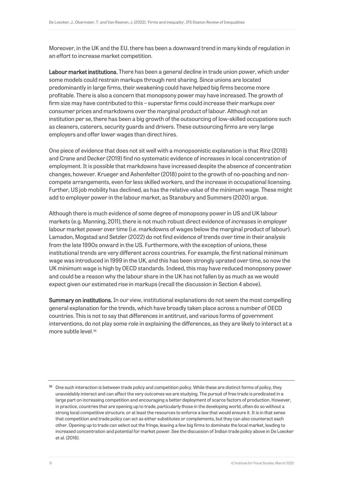Moreover, in the UK and the EU, there has been a downward trend in many kinds of regulation in an effort to increase market competition.

Labour market institutions. There has been a general decline in trade union power, which under some models could restrain markups through rent sharing. Since unions are located predominantly in large firms, their weakening could have helped big firms become more profitable. There is also a concern that monopsony power may have increased. The growth of firm size may have contributed to this – superstar firms could increase their markups over consumer prices and markdowns over the marginal product of labour. Although not an institution per se, there has been a big growth of the outsourcing of low-skilled occupations such as cleaners, caterers, security guards and drivers. These outsourcing firms are very large employers and offer lower wages than direct hires.

One piece of evidence that does not sit well with a monopsonistic explanation is that Rinz (2018) and Crane and Decker (2019) find no systematic evidence of increases in local concentration of employment. It is possible that markdowns have increased despite the absence of concentration changes, however. Krueger and Ashenfelter (2018) point to the growth of no-poaching and noncompete arrangements, even for less skilled workers, and the increase in occupational licensing. Further, US job mobility has declined, as has the relative value of the minimum wage. These might add to employer power in the labour market, as Stansbury and Summers (2020) argue.

Although there is much evidence of some degree of monopsony power in US and UK labour markets (e.g. Manning, 2011), there is not much robust direct evidence of *increases* in employer labour market power over time (i.e. markdowns of wages below the marginal product of labour). Lamadon, Mogstad and Setzler (2022) do not find evidence of trends over time in their analysis from the late 1990s onward in the US. Furthermore, with the exception of unions, these institutional trends are very different across countries. For example, the first national minimum wage was introduced in 1999 in the UK, and this has been strongly uprated over time, so now the UK minimum wage is high by OECD standards. Indeed, this may have reduced monopsony power and could be a reason why the labour share in the UK has not fallen by as much as we would expect given our estimated rise in markups (recall the discussion in Section 4 above).

ſ Summary on institutions. In our view, institutional explanations do not seem the most compelling general explanation for the trends, which have broadly taken place across a number of OECD countries. This is not to say that differences in antitrust, and various forms of government interventions, do not play some role in explaining the differences, as they are likely to interact at a more subtle level.<sup>36</sup>

<sup>&</sup>lt;sup>36</sup> One such interaction is between trade policy and competition policy. While these are distinct forms of policy, they unavoidably interact and can affect the very outcomes we are studying. The pursuit of free trade is predicated in a large part on increasing competition and encouraging a better deployment of scarce factors of production. However, in practice, countries that are opening up to trade, particularly those in the developing world, often do so without a strong local competitive structure, or at least the resources to enforce a law that would ensure it. It is in that sense that competition and trade policy can act as either substitutes or complements, but they can also counteract each other. Opening up to trade can select out the fringe, leaving a few big firms to dominate the local market, leading to increased concentration and potential for market power. See the discussion of Indian trade policy above in De Loecker et al. (2016).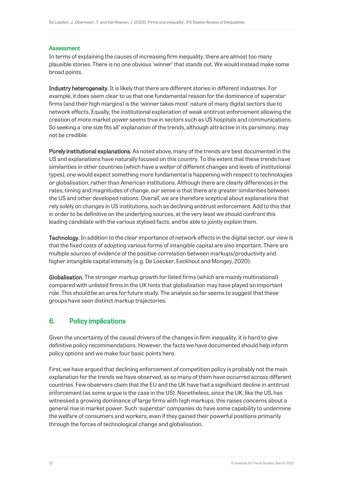#### **Assessment**

In terms of explaining the causes of increasing firm inequality, there are almost too many plausible stories. There is no one obvious 'winner' that stands out. We would instead make some broad points.

Industry heterogeneity. It is likely that there are different stories in different industries. For example, it does seem clear to us that one fundamental reason for the dominance of superstar firms (and their high margins) is the 'winner takes most' nature of many digital sectors due to network effects. Equally, the institutional explanation of weak antitrust enforcement allowing the creation of more market power seems true in sectors such as US hospitals and communications. So seeking a 'one size fits all' explanation of the trends, although attractive in its parsimony, may not be credible.

Purely institutional explanations. As noted above, many of the trends are best documented in the US and explanations have naturally focused on this country. To the extent that these trends have similarities in other countries (which have a welter of different changes and levels of institutional types), one would expect something more fundamental is happening with respect to technologies or globalisation, rather than American institutions. Although there are clearly differences in the rates, timing and magnitudes of change, our sense is that there are greater similarities between the US and other developed nations. Overall, we are therefore sceptical about explanations that rely solely on changes in US institutions, such as declining antitrust enforcement. Add to this that in order to be definitive on the underlying sources, at the very least we should confront this leading candidate with the various stylised facts, and be able to jointly explain them.

Technology. In addition to the clear importance of network effects in the digital sector, our view is that the fixed costs of adopting various forms of intangible capital are also important. There are multiple sources of evidence of the positive correlation between markups/productivity and higher intangible capital intensity (e.g. De Loecker, Eeckhout and Mongey, 2020).

Globalisation. The stronger markup growth for listed firms (which are mainly multinational) compared with unlisted firms in the UK hints that globalisation may have played an important role. This should be an area for future study. The analysis so far seems to suggest that these groups have seen distinct markup trajectories.

## 6. Policy implications

Given the uncertainty of the causal drivers of the changes in firm inequality, it is hard to give definitive policy recommendations. However, the facts we have documented should help inform policy options and we make four basic points here.

First, we have argued that declining enforcement of competition policy is probably not the main explanation for the trends we have observed, as so many of them have occurred across different countries. Few observers claim that the EU and the UK have had a significant decline in antitrust enforcement (as some argue is the case in the US). Nonetheless, since the UK, like the US, has witnessed a growing dominance of large firms with high markups, this raises concerns about a general rise in market power. Such 'superstar' companies do have some capability to undermine the welfare of consumers and workers, even if they gained their powerful positions primarily through the forces of technological change and globalisation.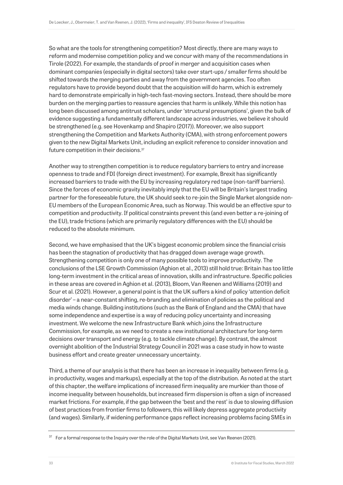So what are the tools for strengthening competition? Most directly, there are many ways to reform and modernise competition policy and we concur with many of the recommendations in Tirole (2022). For example, the standards of proof in merger and acquisition cases when dominant companies (especially in digital sectors) take over start-ups / smaller firms should be shifted towards the merging parties and away from the government agencies. Too often regulators have to provide beyond doubt that the acquisition will do harm, which is extremely hard to demonstrate empirically in high-tech fast-moving sectors. Instead, there should be more burden on the merging parties to reassure agencies that harm is unlikely. While this notion has long been discussed among antitrust scholars, under 'structural presumptions', given the bulk of evidence suggesting a fundamentally different landscape across industries, we believe it should be strengthened (e.g. see Hovenkamp and Shapiro (2017)). Moreover, we also support strengthening the Competition and Markets Authority (CMA), with strong enforcement powers given to the new Digital Markets Unit, including an explicit reference to consider innovation and future competition in their [decisions.](https://decisions.37) 37

 $\overline{a}$ Another way to strengthen competition is to reduce regulatory barriers to entry and increase openness to trade and FDI (foreign direct investment). For example, Brexit has significantly increased barriers to trade with the EU by increasing regulatory red tape (non-tariff barriers). Since the forces of economic gravity inevitably imply that the EU will be Britain's largest trading partner for the foreseeable future, the UK should seek to re-join the Single Market alongside non-EU members of the European Economic Area, such as Norway. This would be an effective spur to competition and productivity. If political constraints prevent this (and even better a re-joining of the EU), trade frictions (which are primarily regulatory differences with the EU) should be reduced to the absolute minimum.

Second, we have emphasised that the UK's biggest economic problem since the financial crisis has been the stagnation of productivity that has dragged down average wage growth. Strengthening competition is only one of many possible tools to improve productivity. The conclusions of the LSE Growth Commission (Aghion et al., 2013) still hold true: Britain has too little long-term investment in the critical areas of innovation, skills and infrastructure. Specific policies in these areas are covered in Aghion et al. (2013), Bloom, Van Reenen and Williams (2019) and Scur et al. (2021). However, a general point is that the UK suffers a kind of policy 'attention deficit disorder' – a near-constant shifting, re-branding and elimination of policies as the political and media winds change. Building institutions (such as the Bank of England and the CMA) that have some independence and expertise is a way of reducing policy uncertainty and increasing investment. We welcome the new Infrastructure Bank which joins the Infrastructure Commission, for example, as we need to create a new institutional architecture for long-term decisions over transport and energy (e.g. to tackle climate change). By contrast, the almost overnight abolition of the Industrial Strategy Council in 2021 was a case study in how to waste business effort and create greater unnecessary uncertainty.

Third, a theme of our analysis is that there has been an increase in inequality between firms (e.g. in productivity, wages and markups), especially at the top of the distribution. As noted at the start of this chapter, the welfare implications of increased firm inequality are murkier than those of income inequality between households, but increased firm dispersion is often a sign of increased market frictions. For example, if the gap between the 'best and the rest' is due to slowing diffusion of best practices from frontier firms to followers, this will likely depress aggregate productivity (and wages). Similarly, if widening performance gaps reflect increasing problems facing SMEs in

 $37$  For a formal response to the Inquiry over the role of the Digital Markets Unit, see Van Reenen (2021).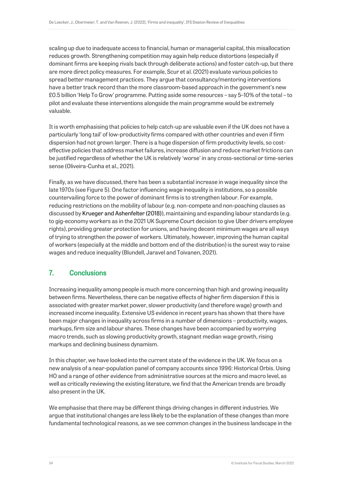scaling up due to inadequate access to financial, human or managerial capital, this misallocation reduces growth. Strengthening competition may again help reduce distortions (especially if dominant firms are keeping rivals back through deliberate actions) and foster catch-up, but there are more direct policy measures. For example, Scur et al. (2021) evaluate various policies to spread better management practices. They argue that consultancy/mentoring interventions have a better track record than the more classroom-based approach in the government's new £0.5 billion 'Help To Grow' programme. Putting aside some resources – say 5–10% of the total – to pilot and evaluate these interventions alongside the main programme would be extremely valuable.

It is worth emphasising that policies to help catch-up are valuable even if the UK does not have a particularly 'long tail' of low-productivity firms compared with other countries and even if firm dispersion had not grown larger. There is a huge dispersion of firm productivity levels, so costeffective policies that address market failures, increase diffusion and reduce market frictions can be justified regardless of whether the UK is relatively 'worse' in any cross-sectional or time-series sense (Oliveira-Cunha et al., 2021).

Finally, as we have discussed, there has been a substantial increase in wage inequality since the late 1970s (see Figure 5). One factor influencing wage inequality is institutions, so a possible countervailing force to the power of dominant firms is to strengthen labour. For example, reducing restrictions on the mobility of labour (e.g. non-compete and non-poaching clauses as discussed by [Krueger and Ashenfelter \(2018\)\)](#page-39-1), maintaining and expanding labour standards (e.g. to gig-economy workers as in the 2021 UK Supreme Court decision to give Uber drivers employee rights), providing greater protection for unions, and having decent minimum wages are all ways of trying to strengthen the power of workers. Ultimately, however, improving the human capital of workers (especially at the middle and bottom end of the distribution) is the surest way to raise wages and reduce inequality (Blundell, Jaravel and Toivanen, 2021).

# 7. Conclusions

Increasing inequality among people is much more concerning than high and growing inequality between firms. Nevertheless, there can be negative effects of higher firm dispersion if this is associated with greater market power, slower productivity (and therefore wage) growth and increased income inequality. Extensive US evidence in recent years has shown that there have been major changes in inequality across firms in a number of dimensions – productivity, wages, markups, firm size and labour shares. These changes have been accompanied by worrying macro trends, such as slowing productivity growth, stagnant median wage growth, rising markups and declining business dynamism.

In this chapter, we have looked into the current state of the evidence in the UK. We focus on a new analysis of a near-population panel of company accounts since 1996: Historical Orbis. Using HO and a range of other evidence from administrative sources at the micro and macro level, as well as critically reviewing the existing literature, we find that the American trends are broadly also present in the UK.

We emphasise that there may be different things driving changes in different industries. We argue that institutional changes are less likely to be the explanation of these changes than more fundamental technological reasons, as we see common changes in the business landscape in the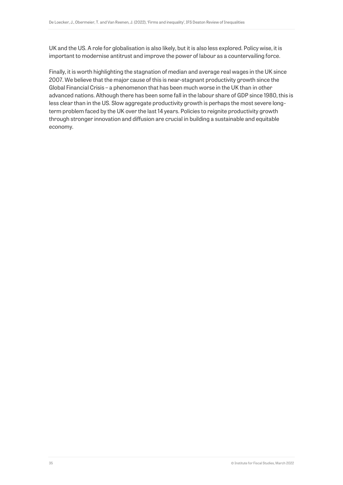UK and the US. A role for globalisation is also likely, but it is also less explored. Policy wise, it is important to modernise antitrust and improve the power of labour as a countervailing force.

Finally, it is worth highlighting the stagnation of median and average real wages in the UK since 2007. We believe that the major cause of this is near-stagnant productivity growth since the Global Financial Crisis – a phenomenon that has been much worse in the UK than in other advanced nations. Although there has been some fall in the labour share of GDP since 1980, this is less clear than in the US. Slow aggregate productivity growth is perhaps the most severe longterm problem faced by the UK over the last 14 years. Policies to reignite productivity growth through stronger innovation and diffusion are crucial in building a sustainable and equitable economy.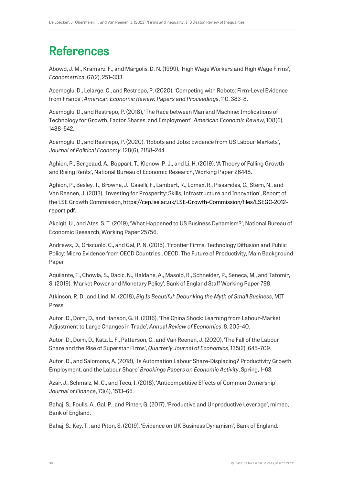# **References**

Abowd, J. M., Kramarz, F., and Margolis, D. N. (1999), 'High Wage Workers and High Wage Firms', *Econometrica*, 67(2), 251–333.

Acemoglu, D., Lelarge, C., and Restrepo, P. (2020), 'Competing with Robots: Firm-Level Evidence from France', *American Economic Review: Papers and Proceedings*, 110, 383–8.

Acemoglu, D., and Restrepo, P. (2018), 'The Race between Man and Machine: Implications of Technology for Growth, Factor Shares, and Employment', *American Economic Review*, 108(6), 1488–542.

Acemoglu, D., and Restrepo, P. (2020), 'Robots and Jobs: Evidence from US Labour Markets', *Journal of Political Economy*, 128(6), 2188–244.

Aghion, P., Bergeaud, A., Boppart, T., Klenow, P. J., and Li, H. (2019), 'A Theory of Falling Growth and Rising Rents', National Bureau of Economic Research, Working Paper 26448.

<span id="page-36-0"></span>Aghion, P., Besley, T., Browne, J., Caselli, F., Lambert, R., Lomax, R., Pissarides, C., Stern, N., and Van Reenen, J. (2013), 'Investing for Prosperity: Skills, Infrastructure and Innovation', Report of the LSE Growth Commission, [https://cep.lse.ac.uk/LSE-Growth-Commission/files/LSEGC-2012](https://cep.lse.ac.uk/LSE-Growth-Commission/files/LSEGC-2012-report.pdf) [report.pdf.](https://cep.lse.ac.uk/LSE-Growth-Commission/files/LSEGC-2012-report.pdf)

Akcigit, U., and Ates, S. T. (2019), 'What Happened to US Business Dynamism?', National Bureau of Economic Research, Working Paper 25756.

Andrews, D., Criscuolo, C., and Gal, P. N. (2015), 'Frontier Firms, Technology Diffusion and Public Policy: Micro Evidence from OECD Countries', OECD, The Future of Productivity, Main Background Paper.

Aquilante, T., Chowla, S., Dacic, N., Haldane, A., Masolo, R., Schneider, P., Seneca, M., and Tatomir, S. (2019), 'Market Power and Monetary Policy', Bank of England Staff Working Paper 798.

Atkinson, R. D., and Lind, M. (2018), *Big Is Beautiful: Debunking the Myth of Small Business*, MIT Press.

Autor, D., Dorn, D., and Hanson, G. H. (2016), 'The China Shock: Learning from Labour-Market Adjustment to Large Changes in Trade', *Annual Review of Economics*, 8, 205–40.

Autor, D., Dorn, D., Katz, L. F., Patterson, C., and Van Reenen, J. (2020), 'The Fall of the Labour Share and the Rise of Superstar Firms', *Quarterly Journal of Economics*, 135(2), 645–709.

Autor, D., and Salomons, A. (2018), 'Is Automation Labour Share-Displacing? Productivity Growth, Employment, and the Labour Share' *Brookings Papers on Economic Activity*, Spring, 1–63.

Azar, J., Schmalz, M. C., and Tecu, I. (2018), 'Anticompetitive Effects of Common Ownership', *Journal of Finance*, 73(4), 1513–65.

Bahaj, S., Foulis, A., Gal, P., and Pinter, G. (2017), 'Productive and Unproductive Leverage', mimeo, Bank of England.

Bahaj, S., Key, T., and Piton, S. (2019), 'Evidence on UK Business Dynamism', Bank of England.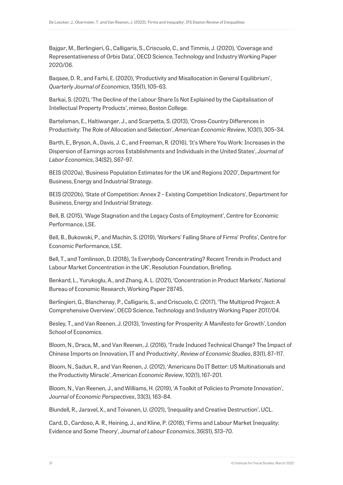Bajgar, M., Berlingieri, G., Calligaris, S., Criscuolo, C., and Timmis, J. (2020), 'Coverage and Representativeness of Orbis Data', OECD Science, Technology and Industry Working Paper 2020/06.

Baqaee, D. R., and Farhi, E. (2020), 'Productivity and Misallocation in General Equilibrium', *Quarterly Journal of Economics*, 135(1), 105–63.

Barkai, S. (2021), 'The Decline of the Labour Share Is Not Explained by the Capitalisation of Intellectual Property Products', mimeo, Boston College.

Bartelsman, E., Haltiwanger, J., and Scarpetta, S. (2013), 'Cross-Country Differences in Productivity: The Role of Allocation and Selection', *American Economic Review*, 103(1), 305–34.

Barth, E., Bryson, A., Davis, J. C., and Freeman, R. (2016), 'It's Where You Work: Increases in the Dispersion of Earnings across Establishments and Individuals in the United States', *Journal of Labor Economics*, 34(S2), S67–97.

<span id="page-37-0"></span>BEIS (2020a), 'Business Population Estimates for the UK and Regions 2020', Department for Business, Energy and Industrial Strategy.

BEIS (2020b), 'State of Competition: Annex 2 – Existing Competition Indicators', Department for Business, Energy and Industrial Strategy.

Bell, B. (2015), 'Wage Stagnation and the Legacy Costs of Employment', Centre for Economic Performance, LSE.

Bell, B., Bukowski, P., and Machin, S. (2019), 'Workers' Falling Share of Firms' Profits', Centre for Economic Performance, LSE.

Í Bell, T., and Tomlinson, D. (2018), 'Is Everybody Concentrating? Recent Trends in Product and Labour Market Concentration in the UK', Resolution Foundation, Briefing.

Benkard, L., Yurukoglu, A., and Zhang, A. L. (2021), 'Concentration in Product Markets', National Bureau of Economic Research, Working Paper 28745.

Berlingieri, G., Blanchenay, P., Calligaris, S., and Criscuolo, C. (2017), 'The Multiprod Project: A Comprehensive Overview', OECD Science, Technology and Industry Working Paper 2017/04.

Besley, T., and Van Reenen, J. (2013), 'Investing for Prosperity: A Manifesto for Growth', London School of Economics.

Bloom, N., Draca, M., and Van Reenen, J. (2016), 'Trade Induced Technical Change? The Impact of Chinese Imports on Innovation, IT and Productivity', *Review of Economic Studies*, 83(1), 87–117.

Bloom, N., Sadun, R., and Van Reenen, J. (2012), 'Americans Do IT Better: US Multinationals and the Productivity Miracle', *American Economic Review*, 102(1), 167–201.

Bloom, N., Van Reenen, J., and Williams, H. (2019), 'A Toolkit of Policies to Promote Innovation', *Journal of Economic Perspectives*, 33(3), 163–84.

Blundell, R., Jaravel, X., and Toivanen, U. (2021), 'Inequality and Creative Destruction', UCL.

Card, D., Cardoso, A. R., Heining, J., and Kline, P. (2018), 'Firms and Labour Market Inequality: Evidence and Some Theory', *Journal of Labour Economics*, 36(S1), S13–70.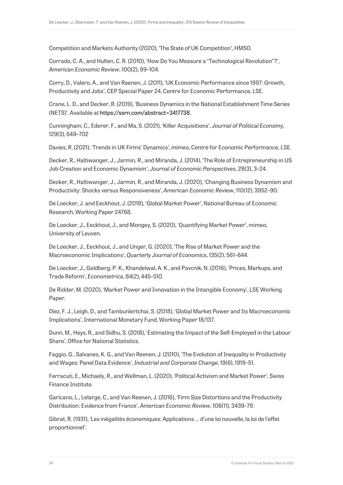Competition and Markets Authority (2020), 'The State of UK Competition', HMSO.

Corrado, C. A., and Hulten, C. R. (2010), 'How Do You Measure a "Technological Revolution"?', *American Economic Review*, 100(2), 99–104.

Corry, D., Valero, A., and Van Reenen, J. (2011), 'UK Economic Performance since 1997: Growth, Productivity and Jobs', CEP Special Paper 24, Centre for Economic Performance, LSE.

Crane, L. D., and Decker, R. (2019), 'Business Dynamics in the National Establishment Time Series (NETS)'. Available a[t https://ssrn.com/abstract=3417738.](https://ssrn.com/abstract=3417738)

Cunningham, C., Ederer, F., and Ma, S. (2021), 'Killer Acquisitions', *Journal of Political Economy*, 129(3), 649–702

Davies, R. (2021), 'Trends in UK Firms' Dynamics', mimeo, Centre for Economic Performance, LSE.

Decker, R., Haltiwanger, J., Jarmin, R., and Miranda, J. (2014), 'The Role of Entrepreneurship in US Job Creation and Economic Dynamism', *Journal of Economic Perspectives*, 28(3), 3–24.

Decker, R., Haltiwanger, J., Jarmin, R., and Miranda, J. (2020), 'Changing Business Dynamism and Productivity: Shocks versus Responsiveness', *American Economic Review*, 110(12), 3952–90.

De Loecker, J. and Eeckhout, J. (2018), 'Global Market Power', National Bureau of Economic Research, Working Paper 24768.

De Loecker, J., Eeckhout, J., and Mongey, S. (2020), 'Quantifying Market Power', mimeo, University of Leuven.

<span id="page-38-1"></span>De Loecker, J., Eeckhout, J., and Unger, G. (2020), 'The Rise of Market Power and the Macroeconomic Implications', *Quarterly Journal of Economics*, 135(2), 561–644.

<span id="page-38-0"></span>De Loecker, J., Goldberg, P. K., Khandelwal, A. K., and Pavcnik, N. (2016), 'Prices, Markups, and Trade Reform', *Econometrica*, 84(2), 445–510.

De Ridder, M. (2020), 'Market Power and Innovation in the Intangible Economy', LSE Working Paper.

Díez, F. J., Leigh, D., and Tambunlertchai, S. (2018), 'Global Market Power and Its Macroeconomic Implications', International Monetary Fund, Working Paper 18/137.

Dunn, M., Heys, R., and Sidhu, S. (2018), 'Estimating the Impact of the Self-Employed in the Labour Share', Office for National Statistics.

Faggio, G., Salvanes, K. G., and Van Reenen, J. (2010), 'The Evolution of Inequality in Productivity and Wages: Panel Data Evidence', *Industrial and Corporate Change*, 19(6), 1919–51.

Ferracuti, E., Michaely, R., and Wellman, L. (2020), 'Political Activism and Market Power', Swiss Finance Institute.

Garicano, L., Lelarge, C., and Van Reenen, J. (2016), 'Firm Size Distortions and the Productivity Distribution: Evidence from France', *American Economic Review*, 106(11), 3439–79.

Gibrat, R. (1931), 'Les inégalités économiques: Applications … d'une loi nouvelle, la loi de l'effet proportionnel'.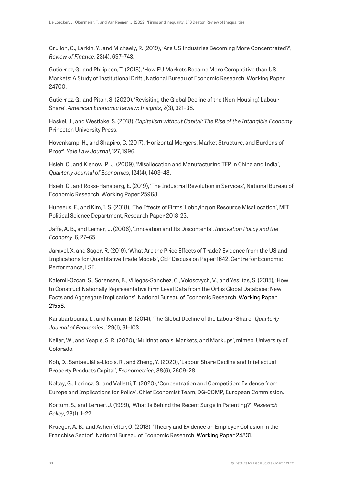Grullon, G., Larkin, Y., and Michaely, R. (2019), 'Are US Industries Becoming More Concentrated?', *Review of Finance*, 23(4), 697–743.

<span id="page-39-0"></span>Gutiérrez, G., and Philippon, T. (2018), 'How EU Markets Became More Competitive than US Markets: A Study of Institutional Drift', National Bureau of Economic Research, Working Paper 24700.

Gutiérrez, G., and Piton, S. (2020), 'Revisiting the Global Decline of the (Non-Housing) Labour Share', *American Economic Review: Insights*, 2(3), 321–38.

Haskel, J., and Westlake, S. (2018), *Capitalism without Capital: The Rise of the Intangible Economy*, Princeton University Press.

Hovenkamp, H., and Shapiro, C. (2017), 'Horizontal Mergers, Market Structure, and Burdens of Proof', *Yale Law Journal*, 127, 1996.

Hsieh, C., and Klenow, P. J. (2009), 'Misallocation and Manufacturing TFP in China and India', *Quarterly Journal of Economics*, 124(4), 1403–48.

Hsieh, C., and Rossi-Hansberg, E. (2019), 'The Industrial Revolution in Services', National Bureau of Economic Research, Working Paper 25968.

Huneeus, F., and Kim, I. S. (2018), 'The Effects of Firms' Lobbying on Resource Misallocation', [MIT](https://papers.ssrn.com/sol3/papers.cfm?abstract_id=3275097)  [Political Science Department, Research Paper 2018-23.](https://papers.ssrn.com/sol3/papers.cfm?abstract_id=3275097)

 Jaffe, A. B., and Lerner, J. (2006), 'Innovation and Its Discontents', *Innovation Policy and the Economy*, 6, 27–65.

Jaravel, X. and Sager, R. (2019), 'What Are the Price Effects of Trade? Evidence from the US and Implications for Quantitative Trade Models', CEP Discussion Paper 1642, Centre for Economic Performance, LSE.

Kalemli-Ozcan, S., Sorensen, B., Villegas-Sanchez, C., Volosovych, V., and Yesiltas, S. (2015), 'How to Construct Nationally Representative Firm Level Data from the Orbis Global Database: New Facts and Aggregate Implications', National Bureau of Economic Research, Working Paper 21558.

Karabarbounis, L., and Neiman, B. (2014), 'The Global Decline of the Labour Share', *Quarterly Journal of Economics*, 129(1), 61–103.

l, Keller, W., and Yeaple, S. R. (2020), 'Multinationals, Markets, and Markups', mimeo, University of Colorado.

Koh, D., Santaeulàlia-Llopis, R., and Zheng, Y. (2020), 'Labour Share Decline and Intellectual Property Products Capital', *Econometrica*, 88(6), 2609–28.

Koltay, G., Lorincz, S., and Valletti, T. (2020), 'Concentration and Competition: Evidence from Europe and Implications for Policy', Chief Economist Team, DG-COMP, European Commission.

Kortum, S., and Lerner, J. (1999), 'What Is Behind the Recent Surge in Patenting?', *Research Policy*, 28(1), 1–22.

<span id="page-39-1"></span>Krueger, A. B., and Ashenfelter, O. (2018), 'Theory and Evidence on Employer Collusion in the Franchise Sector', National Bureau of Economic Research, Working Paper 24831.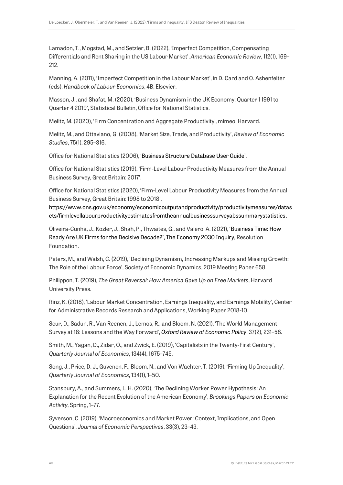Lamadon, T., Mogstad, M., and Setzler, B. (2022), 'Imperfect Competition, Compensating Differentials and Rent Sharing in the US Labour Market', *American Economic Review*, 112(1), 169– 212.

Manning, A. (2011), 'Imperfect Competition in the Labour Market', in D. Card and O. Ashenfelter (eds), *Handbook of Labour Economics*, 4B, Elsevier.

Masson, J., and Shafat, M. (2020), 'Business Dynamism in the UK Economy: Quarter 1 1991 to Quarter 4 2019', Statistical Bulletin, Office for National Statistics.

Melitz, M. (2020), 'Firm Concentration and Aggregate Productivity', mimeo, Harvard.

Melitz, M., and Ottaviano, G. (2008), 'Market Size, Trade, and Productivity', *Review of Economic Studies*, 75(1), 295–316.

Office for National Statistics (2006), 'Business Structure Database User Guide'.

Office for National Statistics (2019), 'Firm-Level Labour Productivity Measures from the Annual Business Survey, Great Britain: 2017'.

Office for National Statistics (2020), 'Firm-Level Labour Productivity Measures from the Annual Business Survey, Great Britain: 1998 to 2018',

[https://www.ons.gov.uk/economy/economicoutputandproductivity/productivitymeasures/datas](https://www.ons.gov.uk/economy/economicoutputandproductivity/productivitymeasures/datasets/firmlevellabourproductivityestimatesfromtheannualbusinesssurveyabssummarystatistics)  [ets/firmlevellabourproductivityestimatesfromtheannualbusinesssurveyabssummarystatistics.](https://www.ons.gov.uk/economy/economicoutputandproductivity/productivitymeasures/datasets/firmlevellabourproductivityestimatesfromtheannualbusinesssurveyabssummarystatistics)

j Oliveira-Cunha, J., Kozler, J., Shah, P., Thwaites, G., and Valero, A. (2021), '[Business Time: How](https://economy2030.resolutionfoundation.org/wp-content/uploads/2021/11/Business-time.pdf)  [Ready Are UK Firms for the Decisive Decade?](https://economy2030.resolutionfoundation.org/wp-content/uploads/2021/11/Business-time.pdf)', The Economy 2030 Inquiry, Resolution Foundation.

Peters, M., and Walsh, C. (2019), 'Declining Dynamism, Increasing Markups and Missing Growth: The Role of the Labour Force', Society of Economic Dynamics, 2019 Meeting Paper 658.

Philippon, T. (2019), *The Great Reversal: How America Gave Up on Free Markets*, Harvard University Press.

Rinz, K. (2018), 'Labour Market Concentration, Earnings Inequality, and Earnings Mobility', Center for Administrative Records Research and Applications, Working Paper 2018-10.

Scur, D., Sadun, R., Van Reenen, J., Lemos, R., and Bloom, N. (2021), 'The World Management Survey at 18: Lessons and the Way Forward', *[Oxford Review of Economic Policy](https://academic.oup.com/oxrep/article-abstract/37/2/231/6311333)*, 37(2), 231–58.

Smith, M., Yagan, D., Zidar, O., and Zwick, E. (2019), 'Capitalists in the Twenty-First Century', *Quarterly Journal of Economics*, 134(4), 1675–745.

Song, J., Price, D. J., Guvenen, F., Bloom, N., and Von Wachter, T. (2019), 'Firming Up Inequality', *Quarterly Journal of Economics*, 134(1), 1–50.

Í Stansbury, A., and Summers, L. H. (2020), 'The Declining Worker Power Hypothesis: An Explanation for the Recent Evolution of the American Economy', *Brookings Papers on Economic Activity*, Spring, 1–77.

<span id="page-40-0"></span> Syverson, C. (2019), 'Macroeconomics and Market Power: Context, Implications, and Open Questions', *Journal of Economic Perspectives*, 33(3), 23–43.